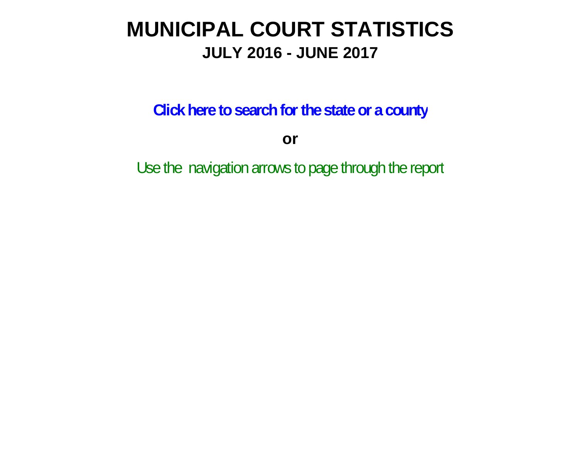# **MUNICIPAL COURT STATISTICS JULY 2016 - JUNE 2017**

**Click here to search for the state or a county**

**or**

Use the navigation arrows to page through the report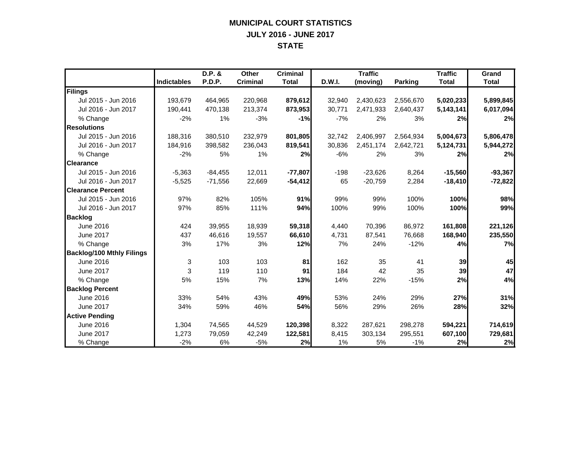#### **MUNICIPAL COURT STATISTICS JULY 2016 - JUNE 2017 STATE**

|                                  |                    | D.P. &    | <b>Other</b>    | <b>Criminal</b> |        | <b>Traffic</b> |           | <b>Traffic</b> | Grand        |
|----------------------------------|--------------------|-----------|-----------------|-----------------|--------|----------------|-----------|----------------|--------------|
|                                  | <b>Indictables</b> | P.D.P.    | <b>Criminal</b> | <b>Total</b>    | D.W.I. | (moving)       | Parking   | <b>Total</b>   | <b>Total</b> |
| Filings                          |                    |           |                 |                 |        |                |           |                |              |
| Jul 2015 - Jun 2016              | 193,679            | 464,965   | 220,968         | 879,612         | 32,940 | 2,430,623      | 2,556,670 | 5,020,233      | 5,899,845    |
| Jul 2016 - Jun 2017              | 190,441            | 470,138   | 213,374         | 873,953         | 30,771 | 2,471,933      | 2,640,437 | 5,143,141      | 6,017,094    |
| % Change                         | $-2%$              | 1%        | $-3%$           | $-1%$           | $-7%$  | 2%             | 3%        | 2%             | 2%           |
| <b>Resolutions</b>               |                    |           |                 |                 |        |                |           |                |              |
| Jul 2015 - Jun 2016              | 188,316            | 380,510   | 232,979         | 801,805         | 32,742 | 2,406,997      | 2,564,934 | 5,004,673      | 5,806,478    |
| Jul 2016 - Jun 2017              | 184,916            | 398,582   | 236,043         | 819,541         | 30,836 | 2,451,174      | 2,642,721 | 5,124,731      | 5,944,272    |
| % Change                         | $-2%$              | 5%        | 1%              | 2%              | $-6%$  | 2%             | 3%        | 2%             | 2%           |
| <b>Clearance</b>                 |                    |           |                 |                 |        |                |           |                |              |
| Jul 2015 - Jun 2016              | $-5,363$           | $-84,455$ | 12,011          | $-77,807$       | $-198$ | $-23,626$      | 8,264     | $-15,560$      | $-93,367$    |
| Jul 2016 - Jun 2017              | $-5,525$           | $-71,556$ | 22,669          | $-54,412$       | 65     | $-20,759$      | 2,284     | $-18,410$      | $-72,822$    |
| <b>Clearance Percent</b>         |                    |           |                 |                 |        |                |           |                |              |
| Jul 2015 - Jun 2016              | 97%                | 82%       | 105%            | 91%             | 99%    | 99%            | 100%      | 100%           | 98%          |
| Jul 2016 - Jun 2017              | 97%                | 85%       | 111%            | 94%             | 100%   | 99%            | 100%      | 100%           | 99%          |
| <b>Backlog</b>                   |                    |           |                 |                 |        |                |           |                |              |
| June 2016                        | 424                | 39,955    | 18,939          | 59,318          | 4,440  | 70,396         | 86,972    | 161,808        | 221,126      |
| <b>June 2017</b>                 | 437                | 46.616    | 19,557          | 66,610          | 4,731  | 87.541         | 76,668    | 168,940        | 235,550      |
| % Change                         | 3%                 | 17%       | 3%              | 12%             | 7%     | 24%            | $-12%$    | 4%             | 7%           |
| <b>Backlog/100 Mthly Filings</b> |                    |           |                 |                 |        |                |           |                |              |
| June 2016                        | 3                  | 103       | 103             | 81              | 162    | 35             | 41        | 39             | 45           |
| <b>June 2017</b>                 | 3                  | 119       | 110             | 91              | 184    | 42             | 35        | 39             | 47           |
| % Change                         | 5%                 | 15%       | 7%              | 13%             | 14%    | 22%            | $-15%$    | 2%             | 4%           |
| <b>Backlog Percent</b>           |                    |           |                 |                 |        |                |           |                |              |
| June 2016                        | 33%                | 54%       | 43%             | 49%             | 53%    | 24%            | 29%       | 27%            | 31%          |
| <b>June 2017</b>                 | 34%                | 59%       | 46%             | 54%             | 56%    | 29%            | 26%       | 28%            | 32%          |
| <b>Active Pending</b>            |                    |           |                 |                 |        |                |           |                |              |
| June 2016                        | 1,304              | 74,565    | 44,529          | 120,398         | 8,322  | 287,621        | 298,278   | 594,221        | 714,619      |
| <b>June 2017</b>                 | 1,273              | 79,059    | 42,249          | 122,581         | 8,415  | 303,134        | 295,551   | 607,100        | 729,681      |
| % Change                         | $-2%$              | 6%        | $-5%$           | 2%              | 1%     | 5%             | $-1%$     | 2%             | 2%           |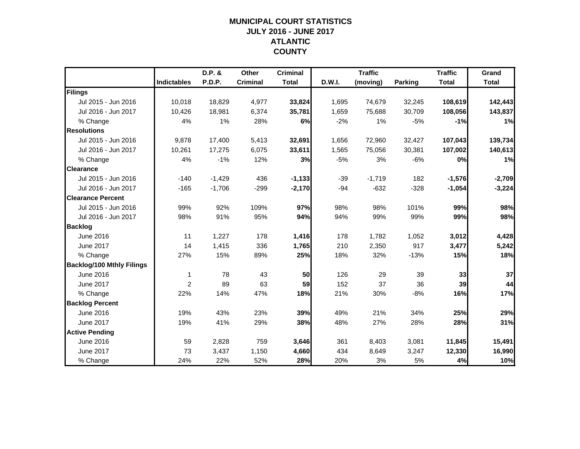## **MUNICIPAL COURT STATISTICSJULY 2016 - JUNE 2017 ATLANTIC COUNTY**

|                                  |                    | D.P. &   | Other           | <b>Criminal</b> |        | <b>Traffic</b> |                | <b>Traffic</b> | Grand        |
|----------------------------------|--------------------|----------|-----------------|-----------------|--------|----------------|----------------|----------------|--------------|
|                                  | <b>Indictables</b> | P.D.P.   | <b>Criminal</b> | <b>Total</b>    | D.W.I. | (moving)       | <b>Parking</b> | <b>Total</b>   | <b>Total</b> |
| Filings                          |                    |          |                 |                 |        |                |                |                |              |
| Jul 2015 - Jun 2016              | 10,018             | 18,829   | 4,977           | 33,824          | 1,695  | 74,679         | 32,245         | 108,619        | 142,443      |
| Jul 2016 - Jun 2017              | 10.426             | 18,981   | 6,374           | 35,781          | 1,659  | 75,688         | 30,709         | 108,056        | 143,837      |
| % Change                         | 4%                 | 1%       | 28%             | 6%              | $-2%$  | 1%             | $-5%$          | $-1%$          | 1%           |
| <b>Resolutions</b>               |                    |          |                 |                 |        |                |                |                |              |
| Jul 2015 - Jun 2016              | 9,878              | 17,400   | 5,413           | 32,691          | 1,656  | 72,960         | 32,427         | 107,043        | 139,734      |
| Jul 2016 - Jun 2017              | 10,261             | 17,275   | 6,075           | 33,611          | 1,565  | 75,056         | 30,381         | 107,002        | 140,613      |
| % Change                         | 4%                 | $-1%$    | 12%             | 3%              | $-5%$  | 3%             | $-6%$          | 0%             | 1%           |
| <b>Clearance</b>                 |                    |          |                 |                 |        |                |                |                |              |
| Jul 2015 - Jun 2016              | $-140$             | $-1,429$ | 436             | $-1,133$        | $-39$  | $-1,719$       | 182            | $-1,576$       | $-2,709$     |
| Jul 2016 - Jun 2017              | $-165$             | $-1,706$ | $-299$          | $-2,170$        | $-94$  | $-632$         | $-328$         | $-1,054$       | $-3,224$     |
| <b>Clearance Percent</b>         |                    |          |                 |                 |        |                |                |                |              |
| Jul 2015 - Jun 2016              | 99%                | 92%      | 109%            | 97%             | 98%    | 98%            | 101%           | 99%            | 98%          |
| Jul 2016 - Jun 2017              | 98%                | 91%      | 95%             | 94%             | 94%    | 99%            | 99%            | 99%            | 98%          |
| <b>Backlog</b>                   |                    |          |                 |                 |        |                |                |                |              |
| June 2016                        | 11                 | 1,227    | 178             | 1,416           | 178    | 1,782          | 1,052          | 3,012          | 4,428        |
| June 2017                        | 14                 | 1,415    | 336             | 1,765           | 210    | 2,350          | 917            | 3,477          | 5,242        |
| % Change                         | 27%                | 15%      | 89%             | 25%             | 18%    | 32%            | $-13%$         | 15%            | 18%          |
| <b>Backlog/100 Mthly Filings</b> |                    |          |                 |                 |        |                |                |                |              |
| June 2016                        | 1                  | 78       | 43              | 50              | 126    | 29             | 39             | 33             | 37           |
| June 2017                        | 2                  | 89       | 63              | 59              | 152    | 37             | 36             | 39             | 44           |
| % Change                         | 22%                | 14%      | 47%             | 18%             | 21%    | 30%            | $-8%$          | 16%            | 17%          |
| <b>Backlog Percent</b>           |                    |          |                 |                 |        |                |                |                |              |
| June 2016                        | 19%                | 43%      | 23%             | 39%             | 49%    | 21%            | 34%            | 25%            | 29%          |
| <b>June 2017</b>                 | 19%                | 41%      | 29%             | 38%             | 48%    | 27%            | 28%            | 28%            | 31%          |
| <b>Active Pending</b>            |                    |          |                 |                 |        |                |                |                |              |
| June 2016                        | 59                 | 2,828    | 759             | 3,646           | 361    | 8,403          | 3,081          | 11,845         | 15,491       |
| June 2017                        | 73                 | 3,437    | 1,150           | 4,660           | 434    | 8,649          | 3,247          | 12,330         | 16,990       |
| % Change                         | 24%                | 22%      | 52%             | 28%             | 20%    | 3%             | 5%             | 4%             | 10%          |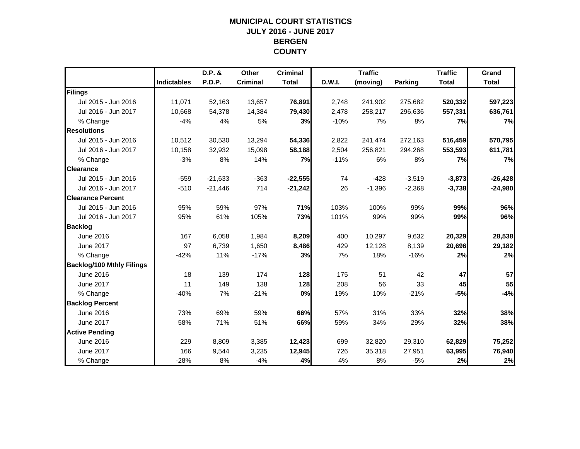## **MUNICIPAL COURT STATISTICSJULY 2016 - JUNE 2017 BERGEN COUNTY**

|                                  |                    | D.P. &    | Other           | <b>Criminal</b> |        | <b>Traffic</b> |                | <b>Traffic</b> | Grand        |
|----------------------------------|--------------------|-----------|-----------------|-----------------|--------|----------------|----------------|----------------|--------------|
|                                  | <b>Indictables</b> | P.D.P.    | <b>Criminal</b> | <b>Total</b>    | D.W.I. | (moving)       | <b>Parking</b> | <b>Total</b>   | <b>Total</b> |
| Filings                          |                    |           |                 |                 |        |                |                |                |              |
| Jul 2015 - Jun 2016              | 11,071             | 52,163    | 13,657          | 76,891          | 2,748  | 241,902        | 275,682        | 520,332        | 597,223      |
| Jul 2016 - Jun 2017              | 10,668             | 54,378    | 14,384          | 79,430          | 2,478  | 258,217        | 296,636        | 557,331        | 636,761      |
| % Change                         | $-4%$              | 4%        | 5%              | 3%              | $-10%$ | 7%             | 8%             | 7%             | 7%           |
| <b>Resolutions</b>               |                    |           |                 |                 |        |                |                |                |              |
| Jul 2015 - Jun 2016              | 10,512             | 30,530    | 13,294          | 54,336          | 2,822  | 241,474        | 272,163        | 516,459        | 570,795      |
| Jul 2016 - Jun 2017              | 10,158             | 32,932    | 15,098          | 58,188          | 2,504  | 256,821        | 294,268        | 553,593        | 611,781      |
| % Change                         | $-3%$              | 8%        | 14%             | 7%              | $-11%$ | 6%             | 8%             | 7%             | 7%           |
| <b>Clearance</b>                 |                    |           |                 |                 |        |                |                |                |              |
| Jul 2015 - Jun 2016              | $-559$             | $-21,633$ | $-363$          | $-22,555$       | 74     | $-428$         | $-3,519$       | $-3,873$       | $-26,428$    |
| Jul 2016 - Jun 2017              | $-510$             | $-21,446$ | 714             | $-21,242$       | 26     | $-1,396$       | $-2,368$       | $-3,738$       | $-24,980$    |
| <b>Clearance Percent</b>         |                    |           |                 |                 |        |                |                |                |              |
| Jul 2015 - Jun 2016              | 95%                | 59%       | 97%             | 71%             | 103%   | 100%           | 99%            | 99%            | 96%          |
| Jul 2016 - Jun 2017              | 95%                | 61%       | 105%            | 73%             | 101%   | 99%            | 99%            | 99%            | 96%          |
| <b>Backlog</b>                   |                    |           |                 |                 |        |                |                |                |              |
| June 2016                        | 167                | 6,058     | 1,984           | 8,209           | 400    | 10,297         | 9,632          | 20,329         | 28,538       |
| June 2017                        | 97                 | 6,739     | 1,650           | 8,486           | 429    | 12,128         | 8,139          | 20,696         | 29,182       |
| % Change                         | $-42%$             | 11%       | $-17%$          | 3%              | 7%     | 18%            | $-16%$         | 2%             | 2%           |
| <b>Backlog/100 Mthly Filings</b> |                    |           |                 |                 |        |                |                |                |              |
| June 2016                        | 18                 | 139       | 174             | 128             | 175    | 51             | 42             | 47             | 57           |
| June 2017                        | 11                 | 149       | 138             | 128             | 208    | 56             | 33             | 45             | 55           |
| % Change                         | $-40%$             | 7%        | $-21%$          | 0%              | 19%    | 10%            | $-21%$         | $-5%$          | $-4%$        |
| <b>Backlog Percent</b>           |                    |           |                 |                 |        |                |                |                |              |
| June 2016                        | 73%                | 69%       | 59%             | 66%             | 57%    | 31%            | 33%            | 32%            | 38%          |
| <b>June 2017</b>                 | 58%                | 71%       | 51%             | 66%             | 59%    | 34%            | 29%            | 32%            | 38%          |
| <b>Active Pending</b>            |                    |           |                 |                 |        |                |                |                |              |
| June 2016                        | 229                | 8,809     | 3,385           | 12,423          | 699    | 32,820         | 29,310         | 62,829         | 75,252       |
| <b>June 2017</b>                 | 166                | 9,544     | 3,235           | 12,945          | 726    | 35,318         | 27,951         | 63,995         | 76,940       |
| % Change                         | $-28%$             | 8%        | $-4%$           | 4%              | 4%     | 8%             | $-5%$          | 2%             | 2%           |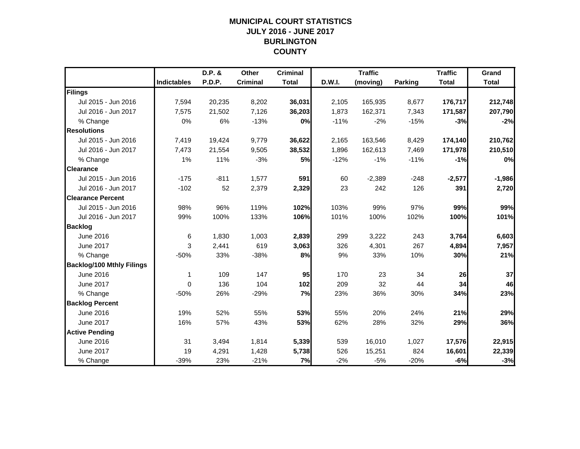## **MUNICIPAL COURT STATISTICSJULY 2016 - JUNE 2017 BURLINGTON COUNTY**

|                                  |                    | D.P. &        | Other           | <b>Criminal</b> |        | <b>Traffic</b> |                | <b>Traffic</b> | Grand        |
|----------------------------------|--------------------|---------------|-----------------|-----------------|--------|----------------|----------------|----------------|--------------|
|                                  | <b>Indictables</b> | <b>P.D.P.</b> | <b>Criminal</b> | <b>Total</b>    | D.W.I. | (moving)       | <b>Parking</b> | <b>Total</b>   | <b>Total</b> |
| Filings                          |                    |               |                 |                 |        |                |                |                |              |
| Jul 2015 - Jun 2016              | 7,594              | 20,235        | 8,202           | 36,031          | 2,105  | 165,935        | 8,677          | 176,717        | 212,748      |
| Jul 2016 - Jun 2017              | 7,575              | 21,502        | 7,126           | 36,203          | 1,873  | 162,371        | 7,343          | 171,587        | 207,790      |
| % Change                         | 0%                 | 6%            | $-13%$          | 0%              | $-11%$ | $-2%$          | $-15%$         | $-3%$          | $-2%$        |
| <b>Resolutions</b>               |                    |               |                 |                 |        |                |                |                |              |
| Jul 2015 - Jun 2016              | 7,419              | 19,424        | 9,779           | 36,622          | 2,165  | 163,546        | 8,429          | 174,140        | 210,762      |
| Jul 2016 - Jun 2017              | 7,473              | 21,554        | 9,505           | 38,532          | 1,896  | 162,613        | 7,469          | 171,978        | 210,510      |
| % Change                         | 1%                 | 11%           | $-3%$           | 5%              | $-12%$ | $-1%$          | $-11%$         | $-1%$          | 0%           |
| <b>Clearance</b>                 |                    |               |                 |                 |        |                |                |                |              |
| Jul 2015 - Jun 2016              | $-175$             | $-811$        | 1,577           | 591             | 60     | $-2,389$       | $-248$         | $-2,577$       | $-1,986$     |
| Jul 2016 - Jun 2017              | $-102$             | 52            | 2,379           | 2,329           | 23     | 242            | 126            | 391            | 2,720        |
| <b>Clearance Percent</b>         |                    |               |                 |                 |        |                |                |                |              |
| Jul 2015 - Jun 2016              | 98%                | 96%           | 119%            | 102%            | 103%   | 99%            | 97%            | 99%            | 99%          |
| Jul 2016 - Jun 2017              | 99%                | 100%          | 133%            | 106%            | 101%   | 100%           | 102%           | 100%           | 101%         |
| <b>Backlog</b>                   |                    |               |                 |                 |        |                |                |                |              |
| June 2016                        | 6                  | 1,830         | 1,003           | 2,839           | 299    | 3,222          | 243            | 3,764          | 6,603        |
| June 2017                        | 3                  | 2,441         | 619             | 3,063           | 326    | 4,301          | 267            | 4,894          | 7,957        |
| % Change                         | $-50%$             | 33%           | $-38%$          | 8%              | 9%     | 33%            | 10%            | 30%            | 21%          |
| <b>Backlog/100 Mthly Filings</b> |                    |               |                 |                 |        |                |                |                |              |
| June 2016                        | 1                  | 109           | 147             | 95              | 170    | 23             | 34             | 26             | 37           |
| June 2017                        | $\mathbf{0}$       | 136           | 104             | 102             | 209    | 32             | 44             | 34             | 46           |
| % Change                         | $-50%$             | 26%           | $-29%$          | 7%              | 23%    | 36%            | 30%            | 34%            | 23%          |
| <b>Backlog Percent</b>           |                    |               |                 |                 |        |                |                |                |              |
| June 2016                        | 19%                | 52%           | 55%             | 53%             | 55%    | 20%            | 24%            | 21%            | 29%          |
| <b>June 2017</b>                 | 16%                | 57%           | 43%             | 53%             | 62%    | 28%            | 32%            | 29%            | 36%          |
| <b>Active Pending</b>            |                    |               |                 |                 |        |                |                |                |              |
| June 2016                        | 31                 | 3,494         | 1,814           | 5,339           | 539    | 16,010         | 1,027          | 17,576         | 22,915       |
| June 2017                        | 19                 | 4,291         | 1,428           | 5,738           | 526    | 15,251         | 824            | 16,601         | 22,339       |
| % Change                         | $-39%$             | 23%           | $-21%$          | 7%              | $-2%$  | $-5%$          | $-20%$         | $-6%$          | $-3%$        |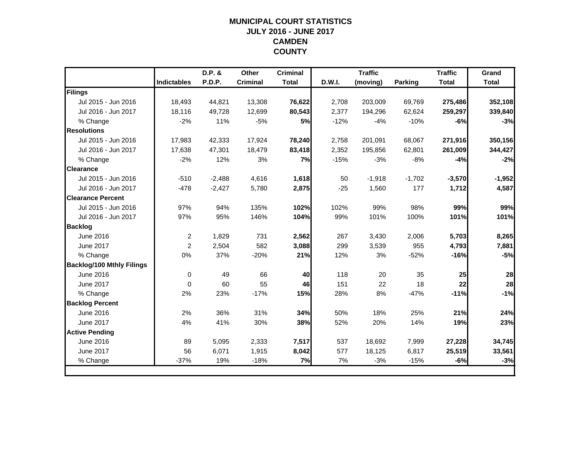## **MUNICIPAL COURT STATISTICSJULY 2016 - JUNE 2017 CAMDEN COUNTY**

|                                  |                    | D.P. &   | <b>Other</b>    | <b>Criminal</b> |        | <b>Traffic</b> |          | <b>Traffic</b> | Grand        |
|----------------------------------|--------------------|----------|-----------------|-----------------|--------|----------------|----------|----------------|--------------|
|                                  | <b>Indictables</b> | P.D.P.   | <b>Criminal</b> | <b>Total</b>    | D.W.I. | (moving)       | Parking  | <b>Total</b>   | <b>Total</b> |
| Filings                          |                    |          |                 |                 |        |                |          |                |              |
| Jul 2015 - Jun 2016              | 18,493             | 44,821   | 13,308          | 76,622          | 2,708  | 203,009        | 69,769   | 275,486        | 352,108      |
| Jul 2016 - Jun 2017              | 18,116             | 49,728   | 12,699          | 80,543          | 2,377  | 194,296        | 62,624   | 259,297        | 339,840      |
| % Change                         | $-2%$              | 11%      | $-5%$           | 5%              | $-12%$ | $-4%$          | $-10%$   | $-6%$          | $-3%$        |
| <b>Resolutions</b>               |                    |          |                 |                 |        |                |          |                |              |
| Jul 2015 - Jun 2016              | 17,983             | 42,333   | 17,924          | 78,240          | 2,758  | 201,091        | 68,067   | 271,916        | 350,156      |
| Jul 2016 - Jun 2017              | 17,638             | 47,301   | 18,479          | 83,418          | 2,352  | 195,856        | 62,801   | 261,009        | 344,427      |
| % Change                         | $-2%$              | 12%      | 3%              | 7%              | $-15%$ | $-3%$          | $-8%$    | $-4%$          | $-2%$        |
| <b>Clearance</b>                 |                    |          |                 |                 |        |                |          |                |              |
| Jul 2015 - Jun 2016              | $-510$             | $-2,488$ | 4,616           | 1,618           | 50     | $-1,918$       | $-1,702$ | $-3,570$       | $-1,952$     |
| Jul 2016 - Jun 2017              | $-478$             | $-2,427$ | 5,780           | 2,875           | $-25$  | 1,560          | 177      | 1,712          | 4,587        |
| <b>Clearance Percent</b>         |                    |          |                 |                 |        |                |          |                |              |
| Jul 2015 - Jun 2016              | 97%                | 94%      | 135%            | 102%            | 102%   | 99%            | 98%      | 99%            | 99%          |
| Jul 2016 - Jun 2017              | 97%                | 95%      | 146%            | 104%            | 99%    | 101%           | 100%     | 101%           | 101%         |
| <b>Backlog</b>                   |                    |          |                 |                 |        |                |          |                |              |
| June 2016                        | 2                  | 1,829    | 731             | 2,562           | 267    | 3,430          | 2,006    | 5,703          | 8,265        |
| June 2017                        | 2                  | 2,504    | 582             | 3,088           | 299    | 3,539          | 955      | 4,793          | 7,881        |
| % Change                         | 0%                 | 37%      | $-20%$          | 21%             | 12%    | 3%             | $-52%$   | $-16%$         | $-5%$        |
| <b>Backlog/100 Mthly Filings</b> |                    |          |                 |                 |        |                |          |                |              |
| June 2016                        | $\mathbf 0$        | 49       | 66              | 40              | 118    | 20             | 35       | 25             | 28           |
| <b>June 2017</b>                 | $\Omega$           | 60       | 55              | 46              | 151    | 22             | 18       | 22             | 28           |
| % Change                         | 2%                 | 23%      | $-17%$          | 15%             | 28%    | 8%             | $-47%$   | $-11%$         | $-1%$        |
| <b>Backlog Percent</b>           |                    |          |                 |                 |        |                |          |                |              |
| June 2016                        | 2%                 | 36%      | 31%             | 34%             | 50%    | 18%            | 25%      | 21%            | 24%          |
| <b>June 2017</b>                 | 4%                 | 41%      | 30%             | 38%             | 52%    | 20%            | 14%      | 19%            | 23%          |
| <b>Active Pending</b>            |                    |          |                 |                 |        |                |          |                |              |
| June 2016                        | 89                 | 5,095    | 2,333           | 7,517           | 537    | 18,692         | 7,999    | 27,228         | 34,745       |
| June 2017                        | 56                 | 6,071    | 1,915           | 8,042           | 577    | 18,125         | 6,817    | 25,519         | 33,561       |
| % Change                         | $-37%$             | 19%      | $-18%$          | 7%              | 7%     | $-3%$          | $-15%$   | $-6%$          | $-3%$        |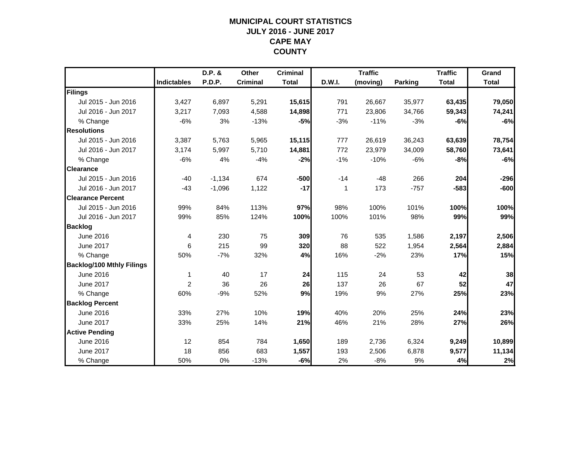## **MUNICIPAL COURT STATISTICSJULY 2016 - JUNE 2017 CAPE MAY COUNTY**

|                                  |                    | D.P. &   | Other           | <b>Criminal</b> |        | <b>Traffic</b> |         | <b>Traffic</b> | Grand        |
|----------------------------------|--------------------|----------|-----------------|-----------------|--------|----------------|---------|----------------|--------------|
|                                  | <b>Indictables</b> | P.D.P.   | <b>Criminal</b> | <b>Total</b>    | D.W.I. | (moving)       | Parking | <b>Total</b>   | <b>Total</b> |
| Filings                          |                    |          |                 |                 |        |                |         |                |              |
| Jul 2015 - Jun 2016              | 3,427              | 6,897    | 5,291           | 15,615          | 791    | 26,667         | 35,977  | 63,435         | 79,050       |
| Jul 2016 - Jun 2017              | 3,217              | 7,093    | 4,588           | 14,898          | 771    | 23,806         | 34,766  | 59,343         | 74,241       |
| % Change                         | $-6%$              | 3%       | $-13%$          | $-5%$           | $-3%$  | $-11%$         | $-3%$   | $-6%$          | $-6%$        |
| <b>Resolutions</b>               |                    |          |                 |                 |        |                |         |                |              |
| Jul 2015 - Jun 2016              | 3,387              | 5,763    | 5,965           | 15,115          | 777    | 26,619         | 36,243  | 63,639         | 78,754       |
| Jul 2016 - Jun 2017              | 3,174              | 5,997    | 5,710           | 14,881          | 772    | 23,979         | 34,009  | 58,760         | 73,641       |
| % Change                         | $-6%$              | 4%       | $-4%$           | $-2%$           | $-1%$  | $-10%$         | $-6%$   | $-8%$          | $-6%$        |
| <b>Clearance</b>                 |                    |          |                 |                 |        |                |         |                |              |
| Jul 2015 - Jun 2016              | $-40$              | $-1,134$ | 674             | $-500$          | $-14$  | $-48$          | 266     | 204            | $-296$       |
| Jul 2016 - Jun 2017              | $-43$              | $-1,096$ | 1,122           | $-17$           | 1      | 173            | $-757$  | $-583$         | $-600$       |
| <b>Clearance Percent</b>         |                    |          |                 |                 |        |                |         |                |              |
| Jul 2015 - Jun 2016              | 99%                | 84%      | 113%            | 97%             | 98%    | 100%           | 101%    | 100%           | 100%         |
| Jul 2016 - Jun 2017              | 99%                | 85%      | 124%            | 100%            | 100%   | 101%           | 98%     | 99%            | 99%          |
| <b>Backlog</b>                   |                    |          |                 |                 |        |                |         |                |              |
| June 2016                        | 4                  | 230      | 75              | 309             | 76     | 535            | 1,586   | 2,197          | 2,506        |
| <b>June 2017</b>                 | 6                  | 215      | 99              | 320             | 88     | 522            | 1,954   | 2,564          | 2,884        |
| % Change                         | 50%                | $-7%$    | 32%             | 4%              | 16%    | $-2%$          | 23%     | 17%            | 15%          |
| <b>Backlog/100 Mthly Filings</b> |                    |          |                 |                 |        |                |         |                |              |
| June 2016                        | 1                  | 40       | 17              | 24              | 115    | 24             | 53      | 42             | 38           |
| June 2017                        | 2                  | 36       | 26              | 26              | 137    | 26             | 67      | 52             | 47           |
| % Change                         | 60%                | $-9%$    | 52%             | 9%              | 19%    | 9%             | 27%     | 25%            | 23%          |
| <b>Backlog Percent</b>           |                    |          |                 |                 |        |                |         |                |              |
| June 2016                        | 33%                | 27%      | 10%             | 19%             | 40%    | 20%            | 25%     | 24%            | 23%          |
| June 2017                        | 33%                | 25%      | 14%             | 21%             | 46%    | 21%            | 28%     | 27%            | 26%          |
| <b>Active Pending</b>            |                    |          |                 |                 |        |                |         |                |              |
| June 2016                        | 12                 | 854      | 784             | 1,650           | 189    | 2,736          | 6,324   | 9,249          | 10,899       |
| June 2017                        | 18                 | 856      | 683             | 1,557           | 193    | 2,506          | 6,878   | 9,577          | 11,134       |
| % Change                         | 50%                | 0%       | $-13%$          | $-6%$           | 2%     | $-8%$          | 9%      | 4%             | 2%           |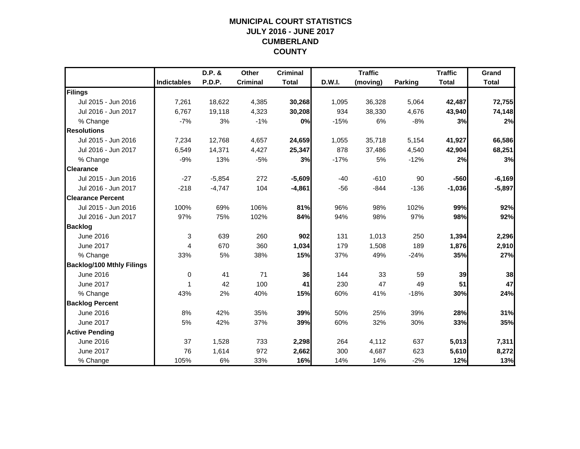## **MUNICIPAL COURT STATISTICSJULY 2016 - JUNE 2017 CUMBERLAND COUNTY**

|                                  |                    | D.P. &   | Other           | <b>Criminal</b> |        | <b>Traffic</b> |         | <b>Traffic</b> | Grand        |
|----------------------------------|--------------------|----------|-----------------|-----------------|--------|----------------|---------|----------------|--------------|
|                                  | <b>Indictables</b> | P.D.P.   | <b>Criminal</b> | <b>Total</b>    | D.W.I. | (moving)       | Parking | <b>Total</b>   | <b>Total</b> |
| Filings                          |                    |          |                 |                 |        |                |         |                |              |
| Jul 2015 - Jun 2016              | 7,261              | 18,622   | 4,385           | 30,268          | 1,095  | 36,328         | 5,064   | 42,487         | 72,755       |
| Jul 2016 - Jun 2017              | 6.767              | 19,118   | 4,323           | 30,208          | 934    | 38,330         | 4,676   | 43,940         | 74,148       |
| % Change                         | $-7%$              | 3%       | $-1%$           | 0%              | $-15%$ | 6%             | $-8%$   | 3%             | 2%           |
| <b>Resolutions</b>               |                    |          |                 |                 |        |                |         |                |              |
| Jul 2015 - Jun 2016              | 7,234              | 12,768   | 4,657           | 24,659          | 1,055  | 35,718         | 5,154   | 41,927         | 66,586       |
| Jul 2016 - Jun 2017              | 6,549              | 14,371   | 4,427           | 25,347          | 878    | 37,486         | 4,540   | 42,904         | 68,251       |
| % Change                         | $-9%$              | 13%      | $-5%$           | 3%              | $-17%$ | 5%             | $-12%$  | 2%             | 3%           |
| <b>Clearance</b>                 |                    |          |                 |                 |        |                |         |                |              |
| Jul 2015 - Jun 2016              | $-27$              | $-5,854$ | 272             | $-5,609$        | $-40$  | $-610$         | 90      | $-560$         | $-6,169$     |
| Jul 2016 - Jun 2017              | $-218$             | $-4,747$ | 104             | $-4,861$        | $-56$  | $-844$         | $-136$  | $-1,036$       | $-5,897$     |
| <b>Clearance Percent</b>         |                    |          |                 |                 |        |                |         |                |              |
| Jul 2015 - Jun 2016              | 100%               | 69%      | 106%            | 81%             | 96%    | 98%            | 102%    | 99%            | 92%          |
| Jul 2016 - Jun 2017              | 97%                | 75%      | 102%            | 84%             | 94%    | 98%            | 97%     | 98%            | 92%          |
| <b>Backlog</b>                   |                    |          |                 |                 |        |                |         |                |              |
| June 2016                        | 3                  | 639      | 260             | 902             | 131    | 1,013          | 250     | 1,394          | 2,296        |
| June 2017                        | $\overline{4}$     | 670      | 360             | 1,034           | 179    | 1,508          | 189     | 1,876          | 2,910        |
| % Change                         | 33%                | 5%       | 38%             | 15%             | 37%    | 49%            | $-24%$  | 35%            | 27%          |
| <b>Backlog/100 Mthly Filings</b> |                    |          |                 |                 |        |                |         |                |              |
| June 2016                        | $\pmb{0}$          | 41       | 71              | 36              | 144    | 33             | 59      | 39             | 38           |
| <b>June 2017</b>                 | 1                  | 42       | 100             | 41              | 230    | 47             | 49      | 51             | 47           |
| % Change                         | 43%                | 2%       | 40%             | 15%             | 60%    | 41%            | $-18%$  | 30%            | 24%          |
| <b>Backlog Percent</b>           |                    |          |                 |                 |        |                |         |                |              |
| June 2016                        | 8%                 | 42%      | 35%             | 39%             | 50%    | 25%            | 39%     | 28%            | 31%          |
| June 2017                        | 5%                 | 42%      | 37%             | 39%             | 60%    | 32%            | 30%     | 33%            | 35%          |
| <b>Active Pending</b>            |                    |          |                 |                 |        |                |         |                |              |
| June 2016                        | 37                 | 1,528    | 733             | 2,298           | 264    | 4,112          | 637     | 5,013          | 7,311        |
| June 2017                        | 76                 | 1,614    | 972             | 2,662           | 300    | 4,687          | 623     | 5,610          | 8,272        |
| % Change                         | 105%               | 6%       | 33%             | 16%             | 14%    | 14%            | $-2%$   | 12%            | 13%          |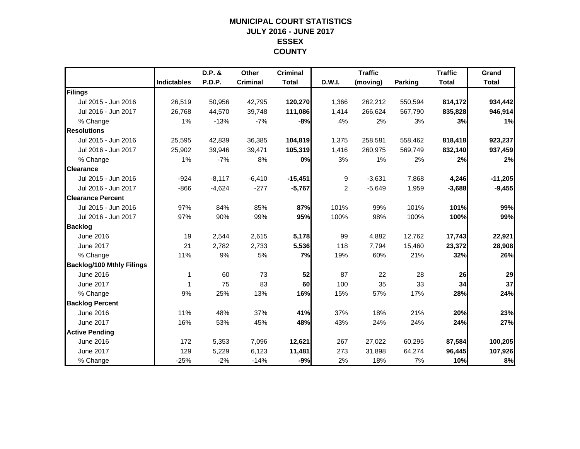#### **MUNICIPAL COURT STATISTICSJULY 2016 - JUNE 2017 ESSEX COUNTY**

|                                  |                    | D.P. &        | Other           | <b>Criminal</b> |                | <b>Traffic</b> |                | <b>Traffic</b> | Grand        |
|----------------------------------|--------------------|---------------|-----------------|-----------------|----------------|----------------|----------------|----------------|--------------|
|                                  | <b>Indictables</b> | <b>P.D.P.</b> | <b>Criminal</b> | <b>Total</b>    | D.W.I.         | (moving)       | <b>Parking</b> | <b>Total</b>   | <b>Total</b> |
| Filings                          |                    |               |                 |                 |                |                |                |                |              |
| Jul 2015 - Jun 2016              | 26,519             | 50,956        | 42,795          | 120,270         | 1,366          | 262,212        | 550,594        | 814,172        | 934,442      |
| Jul 2016 - Jun 2017              | 26.768             | 44,570        | 39,748          | 111,086         | 1,414          | 266,624        | 567.790        | 835,828        | 946,914      |
| % Change                         | 1%                 | $-13%$        | $-7%$           | -8%             | 4%             | 2%             | 3%             | 3%             | 1%           |
| <b>Resolutions</b>               |                    |               |                 |                 |                |                |                |                |              |
| Jul 2015 - Jun 2016              | 25,595             | 42,839        | 36,385          | 104,819         | 1,375          | 258,581        | 558,462        | 818,418        | 923,237      |
| Jul 2016 - Jun 2017              | 25,902             | 39,946        | 39,471          | 105,319         | 1,416          | 260,975        | 569,749        | 832,140        | 937,459      |
| % Change                         | 1%                 | $-7%$         | 8%              | 0%              | 3%             | 1%             | 2%             | 2%             | 2%           |
| <b>Clearance</b>                 |                    |               |                 |                 |                |                |                |                |              |
| Jul 2015 - Jun 2016              | $-924$             | $-8,117$      | $-6,410$        | $-15,451$       | 9              | $-3,631$       | 7,868          | 4,246          | $-11,205$    |
| Jul 2016 - Jun 2017              | $-866$             | $-4,624$      | $-277$          | $-5,767$        | $\overline{2}$ | $-5,649$       | 1,959          | $-3,688$       | $-9,455$     |
| <b>Clearance Percent</b>         |                    |               |                 |                 |                |                |                |                |              |
| Jul 2015 - Jun 2016              | 97%                | 84%           | 85%             | 87%             | 101%           | 99%            | 101%           | 101%           | 99%          |
| Jul 2016 - Jun 2017              | 97%                | 90%           | 99%             | 95%             | 100%           | 98%            | 100%           | 100%           | 99%          |
| <b>Backlog</b>                   |                    |               |                 |                 |                |                |                |                |              |
| June 2016                        | 19                 | 2,544         | 2,615           | 5,178           | 99             | 4,882          | 12,762         | 17,743         | 22,921       |
| June 2017                        | 21                 | 2,782         | 2,733           | 5,536           | 118            | 7,794          | 15,460         | 23,372         | 28,908       |
| % Change                         | 11%                | 9%            | 5%              | 7%              | 19%            | 60%            | 21%            | 32%            | 26%          |
| <b>Backlog/100 Mthly Filings</b> |                    |               |                 |                 |                |                |                |                |              |
| June 2016                        | 1                  | 60            | 73              | 52              | 87             | 22             | 28             | 26             | 29           |
| <b>June 2017</b>                 | 1                  | 75            | 83              | 60              | 100            | 35             | 33             | 34             | 37           |
| % Change                         | 9%                 | 25%           | 13%             | 16%             | 15%            | 57%            | 17%            | 28%            | 24%          |
| <b>Backlog Percent</b>           |                    |               |                 |                 |                |                |                |                |              |
| June 2016                        | 11%                | 48%           | 37%             | 41%             | 37%            | 18%            | 21%            | 20%            | 23%          |
| <b>June 2017</b>                 | 16%                | 53%           | 45%             | 48%             | 43%            | 24%            | 24%            | 24%            | 27%          |
| <b>Active Pending</b>            |                    |               |                 |                 |                |                |                |                |              |
| June 2016                        | 172                | 5,353         | 7,096           | 12,621          | 267            | 27,022         | 60,295         | 87,584         | 100,205      |
| <b>June 2017</b>                 | 129                | 5,229         | 6,123           | 11,481          | 273            | 31,898         | 64,274         | 96,445         | 107,926      |
| % Change                         | $-25%$             | $-2%$         | $-14%$          | $-9%$           | 2%             | 18%            | 7%             | 10%            | 8%           |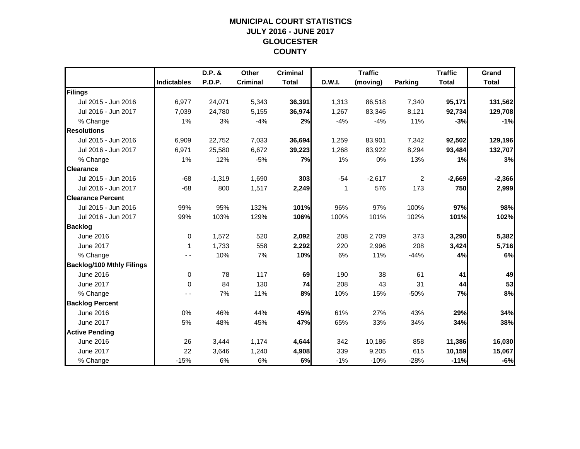## **MUNICIPAL COURT STATISTICSJULY 2016 - JUNE 2017 GLOUCESTER COUNTY**

|                                  |                    | D.P. &   | Other           | <b>Criminal</b> |               | <b>Traffic</b> |                | <b>Traffic</b> | Grand        |
|----------------------------------|--------------------|----------|-----------------|-----------------|---------------|----------------|----------------|----------------|--------------|
|                                  | <b>Indictables</b> | P.D.P.   | <b>Criminal</b> | <b>Total</b>    | <b>D.W.I.</b> | (moving)       | Parking        | <b>Total</b>   | <b>Total</b> |
| Filings                          |                    |          |                 |                 |               |                |                |                |              |
| Jul 2015 - Jun 2016              | 6,977              | 24,071   | 5,343           | 36,391          | 1,313         | 86,518         | 7,340          | 95,171         | 131,562      |
| Jul 2016 - Jun 2017              | 7,039              | 24,780   | 5,155           | 36,974          | 1,267         | 83,346         | 8,121          | 92,734         | 129,708      |
| % Change                         | 1%                 | 3%       | $-4%$           | 2%              | $-4%$         | $-4%$          | 11%            | $-3%$          | $-1%$        |
| <b>Resolutions</b>               |                    |          |                 |                 |               |                |                |                |              |
| Jul 2015 - Jun 2016              | 6,909              | 22,752   | 7,033           | 36,694          | 1,259         | 83,901         | 7,342          | 92,502         | 129,196      |
| Jul 2016 - Jun 2017              | 6,971              | 25,580   | 6,672           | 39,223          | 1,268         | 83,922         | 8,294          | 93,484         | 132,707      |
| % Change                         | 1%                 | 12%      | $-5%$           | 7%              | 1%            | 0%             | 13%            | 1%             | 3%           |
| <b>Clearance</b>                 |                    |          |                 |                 |               |                |                |                |              |
| Jul 2015 - Jun 2016              | $-68$              | $-1,319$ | 1,690           | 303             | $-54$         | $-2,617$       | $\overline{c}$ | $-2,669$       | $-2,366$     |
| Jul 2016 - Jun 2017              | $-68$              | 800      | 1,517           | 2,249           | 1             | 576            | 173            | 750            | 2,999        |
| <b>Clearance Percent</b>         |                    |          |                 |                 |               |                |                |                |              |
| Jul 2015 - Jun 2016              | 99%                | 95%      | 132%            | 101%            | 96%           | 97%            | 100%           | 97%            | 98%          |
| Jul 2016 - Jun 2017              | 99%                | 103%     | 129%            | 106%            | 100%          | 101%           | 102%           | 101%           | 102%         |
| <b>Backlog</b>                   |                    |          |                 |                 |               |                |                |                |              |
| June 2016                        | 0                  | 1,572    | 520             | 2,092           | 208           | 2,709          | 373            | 3,290          | 5,382        |
| June 2017                        | -1                 | 1,733    | 558             | 2,292           | 220           | 2,996          | 208            | 3,424          | 5,716        |
| % Change                         |                    | 10%      | 7%              | 10%             | 6%            | 11%            | $-44%$         | 4%             | 6%           |
| <b>Backlog/100 Mthly Filings</b> |                    |          |                 |                 |               |                |                |                |              |
| June 2016                        | $\pmb{0}$          | 78       | 117             | 69              | 190           | 38             | 61             | 41             | 49           |
| June 2017                        | $\Omega$           | 84       | 130             | 74              | 208           | 43             | 31             | 44             | 53           |
| % Change                         |                    | 7%       | 11%             | 8%              | 10%           | 15%            | $-50%$         | 7%             | 8%           |
| <b>Backlog Percent</b>           |                    |          |                 |                 |               |                |                |                |              |
| June 2016                        | 0%                 | 46%      | 44%             | 45%             | 61%           | 27%            | 43%            | 29%            | 34%          |
| June 2017                        | 5%                 | 48%      | 45%             | 47%             | 65%           | 33%            | 34%            | 34%            | 38%          |
| <b>Active Pending</b>            |                    |          |                 |                 |               |                |                |                |              |
| June 2016                        | 26                 | 3,444    | 1,174           | 4,644           | 342           | 10,186         | 858            | 11,386         | 16,030       |
| June 2017                        | 22                 | 3,646    | 1,240           | 4,908           | 339           | 9,205          | 615            | 10,159         | 15,067       |
| % Change                         | $-15%$             | 6%       | 6%              | 6%              | $-1%$         | $-10%$         | $-28%$         | $-11%$         | $-6%$        |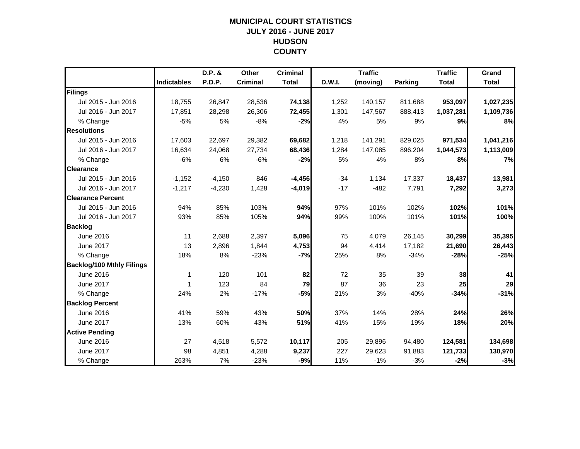## **MUNICIPAL COURT STATISTICSJULY 2016 - JUNE 2017 HUDSON COUNTY**

|                                  |                    | D.P. &   | Other           | <b>Criminal</b> |        | <b>Traffic</b> |                | <b>Traffic</b> | Grand        |
|----------------------------------|--------------------|----------|-----------------|-----------------|--------|----------------|----------------|----------------|--------------|
|                                  | <b>Indictables</b> | P.D.P.   | <b>Criminal</b> | <b>Total</b>    | D.W.I. | (moving)       | <b>Parking</b> | <b>Total</b>   | <b>Total</b> |
| Filings                          |                    |          |                 |                 |        |                |                |                |              |
| Jul 2015 - Jun 2016              | 18,755             | 26,847   | 28,536          | 74,138          | 1,252  | 140,157        | 811,688        | 953,097        | 1,027,235    |
| Jul 2016 - Jun 2017              | 17,851             | 28,298   | 26,306          | 72,455          | 1,301  | 147,567        | 888,413        | 1,037,281      | 1,109,736    |
| % Change                         | $-5%$              | 5%       | $-8%$           | $-2%$           | 4%     | 5%             | 9%             | 9%             | 8%           |
| <b>Resolutions</b>               |                    |          |                 |                 |        |                |                |                |              |
| Jul 2015 - Jun 2016              | 17,603             | 22,697   | 29,382          | 69,682          | 1,218  | 141,291        | 829,025        | 971,534        | 1,041,216    |
| Jul 2016 - Jun 2017              | 16,634             | 24,068   | 27,734          | 68,436          | 1,284  | 147,085        | 896,204        | 1,044,573      | 1,113,009    |
| % Change                         | $-6%$              | 6%       | $-6%$           | $-2%$           | 5%     | 4%             | 8%             | 8%             | 7%           |
| <b>Clearance</b>                 |                    |          |                 |                 |        |                |                |                |              |
| Jul 2015 - Jun 2016              | $-1,152$           | $-4,150$ | 846             | $-4,456$        | $-34$  | 1,134          | 17,337         | 18,437         | 13,981       |
| Jul 2016 - Jun 2017              | $-1,217$           | $-4,230$ | 1,428           | $-4,019$        | $-17$  | $-482$         | 7,791          | 7,292          | 3,273        |
| <b>Clearance Percent</b>         |                    |          |                 |                 |        |                |                |                |              |
| Jul 2015 - Jun 2016              | 94%                | 85%      | 103%            | 94%             | 97%    | 101%           | 102%           | 102%           | 101%         |
| Jul 2016 - Jun 2017              | 93%                | 85%      | 105%            | 94%             | 99%    | 100%           | 101%           | 101%           | 100%         |
| <b>Backlog</b>                   |                    |          |                 |                 |        |                |                |                |              |
| June 2016                        | 11                 | 2,688    | 2,397           | 5,096           | 75     | 4,079          | 26,145         | 30,299         | 35,395       |
| June 2017                        | 13                 | 2,896    | 1,844           | 4,753           | 94     | 4,414          | 17,182         | 21,690         | 26,443       |
| % Change                         | 18%                | 8%       | $-23%$          | $-7%$           | 25%    | 8%             | $-34%$         | $-28%$         | $-25%$       |
| <b>Backlog/100 Mthly Filings</b> |                    |          |                 |                 |        |                |                |                |              |
| June 2016                        | 1                  | 120      | 101             | 82              | 72     | 35             | 39             | 38             | 41           |
| <b>June 2017</b>                 | 1                  | 123      | 84              | 79              | 87     | 36             | 23             | 25             | 29           |
| % Change                         | 24%                | 2%       | $-17%$          | $-5%$           | 21%    | 3%             | $-40%$         | $-34%$         | $-31%$       |
| <b>Backlog Percent</b>           |                    |          |                 |                 |        |                |                |                |              |
| June 2016                        | 41%                | 59%      | 43%             | 50%             | 37%    | 14%            | 28%            | 24%            | 26%          |
| <b>June 2017</b>                 | 13%                | 60%      | 43%             | 51%             | 41%    | 15%            | 19%            | 18%            | 20%          |
| <b>Active Pending</b>            |                    |          |                 |                 |        |                |                |                |              |
| June 2016                        | 27                 | 4,518    | 5,572           | 10,117          | 205    | 29,896         | 94,480         | 124,581        | 134,698      |
| June 2017                        | 98                 | 4,851    | 4,288           | 9,237           | 227    | 29,623         | 91,883         | 121,733        | 130,970      |
| % Change                         | 263%               | 7%       | $-23%$          | $-9%$           | 11%    | $-1%$          | $-3%$          | $-2%$          | $-3%$        |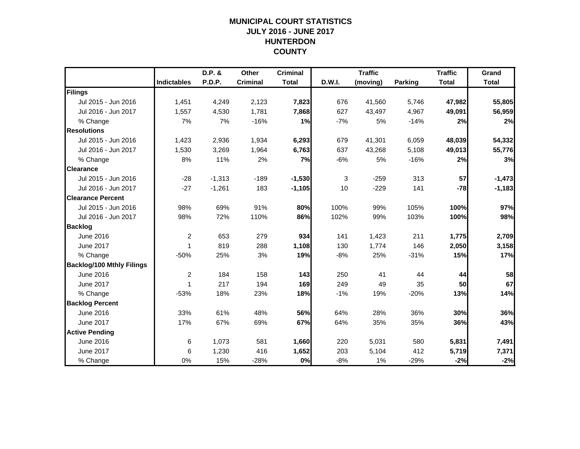## **MUNICIPAL COURT STATISTICSJULY 2016 - JUNE 2017 HUNTERDON COUNTY**

|                                  |                    | D.P. &   | Other           | <b>Criminal</b> |        | <b>Traffic</b> |         | <b>Traffic</b> | Grand        |
|----------------------------------|--------------------|----------|-----------------|-----------------|--------|----------------|---------|----------------|--------------|
|                                  | <b>Indictables</b> | P.D.P.   | <b>Criminal</b> | <b>Total</b>    | D.W.I. | (moving)       | Parking | <b>Total</b>   | <b>Total</b> |
| Filings                          |                    |          |                 |                 |        |                |         |                |              |
| Jul 2015 - Jun 2016              | 1,451              | 4,249    | 2,123           | 7,823           | 676    | 41,560         | 5,746   | 47,982         | 55,805       |
| Jul 2016 - Jun 2017              | 1,557              | 4,530    | 1,781           | 7,868           | 627    | 43,497         | 4,967   | 49,091         | 56,959       |
| % Change                         | 7%                 | 7%       | $-16%$          | 1%              | $-7%$  | 5%             | $-14%$  | 2%             | 2%           |
| <b>Resolutions</b>               |                    |          |                 |                 |        |                |         |                |              |
| Jul 2015 - Jun 2016              | 1,423              | 2,936    | 1,934           | 6,293           | 679    | 41,301         | 6,059   | 48,039         | 54,332       |
| Jul 2016 - Jun 2017              | 1,530              | 3,269    | 1,964           | 6,763           | 637    | 43,268         | 5,108   | 49,013         | 55,776       |
| % Change                         | 8%                 | 11%      | 2%              | 7%              | $-6%$  | 5%             | $-16%$  | 2%             | 3%           |
| <b>Clearance</b>                 |                    |          |                 |                 |        |                |         |                |              |
| Jul 2015 - Jun 2016              | $-28$              | $-1,313$ | $-189$          | $-1,530$        | 3      | $-259$         | 313     | 57             | $-1,473$     |
| Jul 2016 - Jun 2017              | $-27$              | $-1,261$ | 183             | $-1,105$        | 10     | $-229$         | 141     | $-78$          | $-1,183$     |
| <b>Clearance Percent</b>         |                    |          |                 |                 |        |                |         |                |              |
| Jul 2015 - Jun 2016              | 98%                | 69%      | 91%             | 80%             | 100%   | 99%            | 105%    | 100%           | 97%          |
| Jul 2016 - Jun 2017              | 98%                | 72%      | 110%            | 86%             | 102%   | 99%            | 103%    | 100%           | 98%          |
| <b>Backlog</b>                   |                    |          |                 |                 |        |                |         |                |              |
| June 2016                        | $\overline{c}$     | 653      | 279             | 934             | 141    | 1,423          | 211     | 1,775          | 2,709        |
| June 2017                        | 1                  | 819      | 288             | 1,108           | 130    | 1,774          | 146     | 2,050          | 3,158        |
| % Change                         | $-50%$             | 25%      | 3%              | 19%             | $-8%$  | 25%            | $-31%$  | 15%            | 17%          |
| <b>Backlog/100 Mthly Filings</b> |                    |          |                 |                 |        |                |         |                |              |
| June 2016                        | $\overline{c}$     | 184      | 158             | 143             | 250    | 41             | 44      | 44             | 58           |
| <b>June 2017</b>                 | 1                  | 217      | 194             | 169             | 249    | 49             | 35      | 50             | 67           |
| % Change                         | $-53%$             | 18%      | 23%             | 18%             | $-1%$  | 19%            | $-20%$  | 13%            | 14%          |
| <b>Backlog Percent</b>           |                    |          |                 |                 |        |                |         |                |              |
| June 2016                        | 33%                | 61%      | 48%             | 56%             | 64%    | 28%            | 36%     | 30%            | 36%          |
| June 2017                        | 17%                | 67%      | 69%             | 67%             | 64%    | 35%            | 35%     | 36%            | 43%          |
| <b>Active Pending</b>            |                    |          |                 |                 |        |                |         |                |              |
| June 2016                        | 6                  | 1,073    | 581             | 1,660           | 220    | 5,031          | 580     | 5,831          | 7,491        |
| June 2017                        | 6                  | 1,230    | 416             | 1,652           | 203    | 5,104          | 412     | 5,719          | 7,371        |
| % Change                         | 0%                 | 15%      | $-28%$          | 0%              | $-8%$  | 1%             | $-29%$  | $-2%$          | $-2%$        |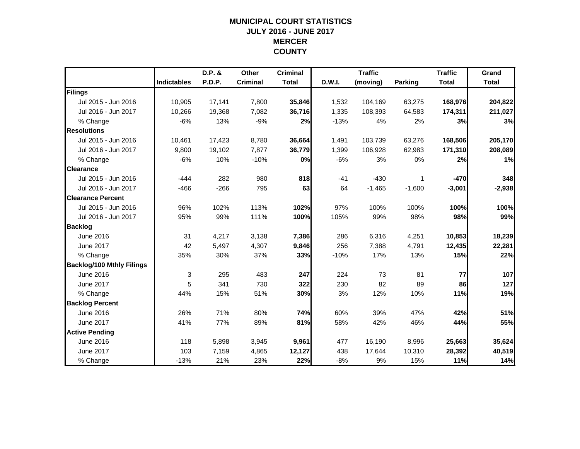## **MUNICIPAL COURT STATISTICSJULY 2016 - JUNE 2017 MERCER COUNTY**

|                                  |                    | D.P. &        | Other           | <b>Criminal</b> |        | <b>Traffic</b> |                | <b>Traffic</b> | Grand        |
|----------------------------------|--------------------|---------------|-----------------|-----------------|--------|----------------|----------------|----------------|--------------|
|                                  | <b>Indictables</b> | <b>P.D.P.</b> | <b>Criminal</b> | <b>Total</b>    | D.W.I. | (moving)       | <b>Parking</b> | <b>Total</b>   | <b>Total</b> |
| Filings                          |                    |               |                 |                 |        |                |                |                |              |
| Jul 2015 - Jun 2016              | 10,905             | 17,141        | 7,800           | 35,846          | 1,532  | 104,169        | 63,275         | 168,976        | 204,822      |
| Jul 2016 - Jun 2017              | 10,266             | 19,368        | 7,082           | 36,716          | 1,335  | 108,393        | 64,583         | 174,311        | 211,027      |
| % Change                         | $-6%$              | 13%           | $-9%$           | 2%              | $-13%$ | 4%             | 2%             | 3%             | 3%           |
| <b>Resolutions</b>               |                    |               |                 |                 |        |                |                |                |              |
| Jul 2015 - Jun 2016              | 10,461             | 17,423        | 8,780           | 36,664          | 1,491  | 103,739        | 63,276         | 168,506        | 205,170      |
| Jul 2016 - Jun 2017              | 9,800              | 19,102        | 7,877           | 36,779          | 1,399  | 106,928        | 62,983         | 171,310        | 208,089      |
| % Change                         | $-6%$              | 10%           | $-10%$          | 0%              | $-6%$  | 3%             | 0%             | 2%             | 1%           |
| <b>Clearance</b>                 |                    |               |                 |                 |        |                |                |                |              |
| Jul 2015 - Jun 2016              | $-444$             | 282           | 980             | 818             | $-41$  | $-430$         | 1              | $-470$         | 348          |
| Jul 2016 - Jun 2017              | $-466$             | $-266$        | 795             | 63              | 64     | $-1,465$       | $-1,600$       | $-3,001$       | $-2,938$     |
| <b>Clearance Percent</b>         |                    |               |                 |                 |        |                |                |                |              |
| Jul 2015 - Jun 2016              | 96%                | 102%          | 113%            | 102%            | 97%    | 100%           | 100%           | 100%           | 100%         |
| Jul 2016 - Jun 2017              | 95%                | 99%           | 111%            | 100%            | 105%   | 99%            | 98%            | 98%            | 99%          |
| <b>Backlog</b>                   |                    |               |                 |                 |        |                |                |                |              |
| June 2016                        | 31                 | 4,217         | 3,138           | 7,386           | 286    | 6,316          | 4,251          | 10,853         | 18,239       |
| <b>June 2017</b>                 | 42                 | 5,497         | 4,307           | 9,846           | 256    | 7,388          | 4,791          | 12,435         | 22,281       |
| % Change                         | 35%                | 30%           | 37%             | 33%             | $-10%$ | 17%            | 13%            | 15%            | 22%          |
| <b>Backlog/100 Mthly Filings</b> |                    |               |                 |                 |        |                |                |                |              |
| June 2016                        | 3                  | 295           | 483             | 247             | 224    | 73             | 81             | 77             | 107          |
| June 2017                        | 5                  | 341           | 730             | 322             | 230    | 82             | 89             | 86             | 127          |
| % Change                         | 44%                | 15%           | 51%             | 30%             | 3%     | 12%            | 10%            | 11%            | 19%          |
| <b>Backlog Percent</b>           |                    |               |                 |                 |        |                |                |                |              |
| June 2016                        | 26%                | 71%           | 80%             | 74%             | 60%    | 39%            | 47%            | 42%            | 51%          |
| June 2017                        | 41%                | 77%           | 89%             | 81%             | 58%    | 42%            | 46%            | 44%            | 55%          |
| <b>Active Pending</b>            |                    |               |                 |                 |        |                |                |                |              |
| June 2016                        | 118                | 5,898         | 3,945           | 9,961           | 477    | 16,190         | 8,996          | 25,663         | 35,624       |
| June 2017                        | 103                | 7,159         | 4,865           | 12,127          | 438    | 17,644         | 10,310         | 28,392         | 40,519       |
| % Change                         | $-13%$             | 21%           | 23%             | 22%             | $-8%$  | 9%             | 15%            | 11%            | 14%          |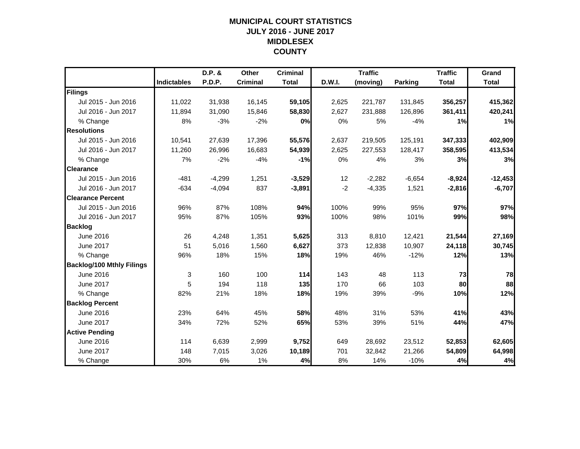## **MUNICIPAL COURT STATISTICSJULY 2016 - JUNE 2017 MIDDLESEX COUNTY**

|                                  |                    | D.P. &        | Other           | <b>Criminal</b> |        | <b>Traffic</b> |                | <b>Traffic</b> | Grand        |
|----------------------------------|--------------------|---------------|-----------------|-----------------|--------|----------------|----------------|----------------|--------------|
|                                  | <b>Indictables</b> | <b>P.D.P.</b> | <b>Criminal</b> | <b>Total</b>    | D.W.I. | (moving)       | <b>Parking</b> | <b>Total</b>   | <b>Total</b> |
| Filings                          |                    |               |                 |                 |        |                |                |                |              |
| Jul 2015 - Jun 2016              | 11,022             | 31,938        | 16,145          | 59,105          | 2,625  | 221,787        | 131,845        | 356,257        | 415,362      |
| Jul 2016 - Jun 2017              | 11,894             | 31,090        | 15,846          | 58,830          | 2,627  | 231,888        | 126,896        | 361,411        | 420,241      |
| % Change                         | 8%                 | $-3%$         | $-2%$           | 0%              | 0%     | 5%             | $-4%$          | 1%             | 1%           |
| <b>Resolutions</b>               |                    |               |                 |                 |        |                |                |                |              |
| Jul 2015 - Jun 2016              | 10,541             | 27,639        | 17,396          | 55,576          | 2,637  | 219,505        | 125,191        | 347,333        | 402,909      |
| Jul 2016 - Jun 2017              | 11,260             | 26,996        | 16,683          | 54,939          | 2,625  | 227,553        | 128,417        | 358,595        | 413,534      |
| % Change                         | 7%                 | $-2%$         | $-4%$           | $-1%$           | 0%     | 4%             | 3%             | 3%             | 3%           |
| <b>Clearance</b>                 |                    |               |                 |                 |        |                |                |                |              |
| Jul 2015 - Jun 2016              | $-481$             | $-4,299$      | 1,251           | $-3,529$        | 12     | $-2,282$       | $-6,654$       | $-8,924$       | $-12,453$    |
| Jul 2016 - Jun 2017              | $-634$             | $-4,094$      | 837             | $-3,891$        | $-2$   | $-4,335$       | 1,521          | $-2,816$       | $-6,707$     |
| <b>Clearance Percent</b>         |                    |               |                 |                 |        |                |                |                |              |
| Jul 2015 - Jun 2016              | 96%                | 87%           | 108%            | 94%             | 100%   | 99%            | 95%            | 97%            | 97%          |
| Jul 2016 - Jun 2017              | 95%                | 87%           | 105%            | 93%             | 100%   | 98%            | 101%           | 99%            | 98%          |
| <b>Backlog</b>                   |                    |               |                 |                 |        |                |                |                |              |
| June 2016                        | 26                 | 4,248         | 1,351           | 5,625           | 313    | 8,810          | 12,421         | 21,544         | 27,169       |
| June 2017                        | 51                 | 5,016         | 1,560           | 6,627           | 373    | 12,838         | 10,907         | 24,118         | 30,745       |
| % Change                         | 96%                | 18%           | 15%             | 18%             | 19%    | 46%            | $-12%$         | 12%            | 13%          |
| <b>Backlog/100 Mthly Filings</b> |                    |               |                 |                 |        |                |                |                |              |
| June 2016                        | 3                  | 160           | 100             | 114             | 143    | 48             | 113            | 73             | 78           |
| June 2017                        | 5                  | 194           | 118             | 135             | 170    | 66             | 103            | 80             | 88           |
| % Change                         | 82%                | 21%           | 18%             | 18%             | 19%    | 39%            | $-9%$          | 10%            | 12%          |
| <b>Backlog Percent</b>           |                    |               |                 |                 |        |                |                |                |              |
| June 2016                        | 23%                | 64%           | 45%             | 58%             | 48%    | 31%            | 53%            | 41%            | 43%          |
| <b>June 2017</b>                 | 34%                | 72%           | 52%             | 65%             | 53%    | 39%            | 51%            | 44%            | 47%          |
| <b>Active Pending</b>            |                    |               |                 |                 |        |                |                |                |              |
| June 2016                        | 114                | 6,639         | 2,999           | 9,752           | 649    | 28,692         | 23,512         | 52,853         | 62,605       |
| June 2017                        | 148                | 7,015         | 3,026           | 10,189          | 701    | 32,842         | 21,266         | 54,809         | 64,998       |
| % Change                         | 30%                | 6%            | 1%              | 4%              | 8%     | 14%            | $-10%$         | 4%             | 4%           |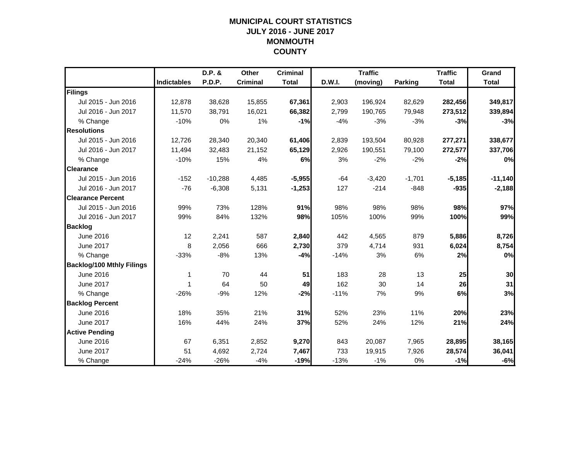## **MUNICIPAL COURT STATISTICSJULY 2016 - JUNE 2017 MONMOUTH COUNTY**

|                                  |                    | D.P. &    | Other           | <b>Criminal</b> |        | <b>Traffic</b> |                | <b>Traffic</b> | Grand        |
|----------------------------------|--------------------|-----------|-----------------|-----------------|--------|----------------|----------------|----------------|--------------|
|                                  | <b>Indictables</b> | P.D.P.    | <b>Criminal</b> | <b>Total</b>    | D.W.I. | (moving)       | <b>Parking</b> | <b>Total</b>   | <b>Total</b> |
| Filings                          |                    |           |                 |                 |        |                |                |                |              |
| Jul 2015 - Jun 2016              | 12,878             | 38,628    | 15,855          | 67,361          | 2,903  | 196,924        | 82,629         | 282,456        | 349,817      |
| Jul 2016 - Jun 2017              | 11.570             | 38.791    | 16,021          | 66,382          | 2,799  | 190,765        | 79,948         | 273,512        | 339,894      |
| % Change                         | $-10%$             | 0%        | 1%              | $-1%$           | $-4%$  | $-3%$          | $-3%$          | $-3%$          | $-3%$        |
| <b>Resolutions</b>               |                    |           |                 |                 |        |                |                |                |              |
| Jul 2015 - Jun 2016              | 12,726             | 28,340    | 20,340          | 61,406          | 2,839  | 193,504        | 80,928         | 277,271        | 338,677      |
| Jul 2016 - Jun 2017              | 11,494             | 32,483    | 21,152          | 65,129          | 2,926  | 190,551        | 79,100         | 272,577        | 337,706      |
| % Change                         | $-10%$             | 15%       | 4%              | 6%              | 3%     | $-2%$          | $-2%$          | $-2%$          | 0%           |
| <b>Clearance</b>                 |                    |           |                 |                 |        |                |                |                |              |
| Jul 2015 - Jun 2016              | $-152$             | $-10,288$ | 4,485           | $-5,955$        | $-64$  | $-3,420$       | $-1,701$       | $-5,185$       | $-11,140$    |
| Jul 2016 - Jun 2017              | $-76$              | $-6,308$  | 5,131           | $-1,253$        | 127    | $-214$         | $-848$         | $-935$         | $-2,188$     |
| <b>Clearance Percent</b>         |                    |           |                 |                 |        |                |                |                |              |
| Jul 2015 - Jun 2016              | 99%                | 73%       | 128%            | 91%             | 98%    | 98%            | 98%            | 98%            | 97%          |
| Jul 2016 - Jun 2017              | 99%                | 84%       | 132%            | 98%             | 105%   | 100%           | 99%            | 100%           | 99%          |
| <b>Backlog</b>                   |                    |           |                 |                 |        |                |                |                |              |
| June 2016                        | 12                 | 2,241     | 587             | 2,840           | 442    | 4,565          | 879            | 5,886          | 8,726        |
| June 2017                        | 8                  | 2,056     | 666             | 2,730           | 379    | 4,714          | 931            | 6,024          | 8,754        |
| % Change                         | $-33%$             | $-8%$     | 13%             | $-4%$           | $-14%$ | 3%             | 6%             | 2%             | 0%           |
| <b>Backlog/100 Mthly Filings</b> |                    |           |                 |                 |        |                |                |                |              |
| June 2016                        | 1                  | 70        | 44              | 51              | 183    | 28             | 13             | 25             | 30           |
| <b>June 2017</b>                 | 1                  | 64        | 50              | 49              | 162    | 30             | 14             | 26             | 31           |
| % Change                         | $-26%$             | $-9%$     | 12%             | $-2%$           | $-11%$ | 7%             | 9%             | 6%             | 3%           |
| <b>Backlog Percent</b>           |                    |           |                 |                 |        |                |                |                |              |
| June 2016                        | 18%                | 35%       | 21%             | 31%             | 52%    | 23%            | 11%            | 20%            | 23%          |
| June 2017                        | 16%                | 44%       | 24%             | 37%             | 52%    | 24%            | 12%            | 21%            | 24%          |
| <b>Active Pending</b>            |                    |           |                 |                 |        |                |                |                |              |
| June 2016                        | 67                 | 6,351     | 2,852           | 9,270           | 843    | 20,087         | 7,965          | 28,895         | 38,165       |
| June 2017                        | 51                 | 4,692     | 2,724           | 7,467           | 733    | 19,915         | 7,926          | 28,574         | 36,041       |
| % Change                         | $-24%$             | $-26%$    | $-4%$           | $-19%$          | $-13%$ | $-1%$          | 0%             | $-1%$          | $-6%$        |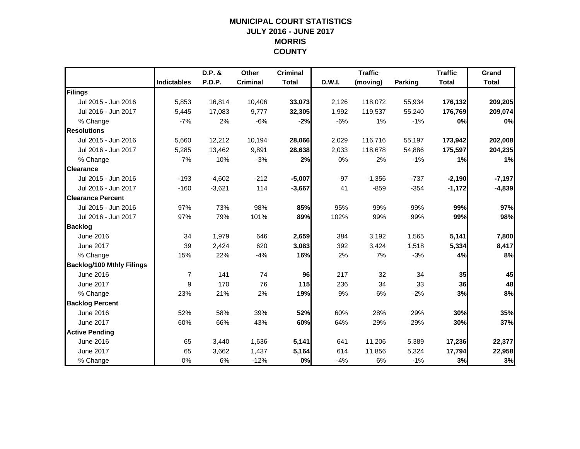## **MUNICIPAL COURT STATISTICSJULY 2016 - JUNE 2017 MORRIS COUNTY**

|                                  |                    | D.P. &   | Other           | <b>Criminal</b> |        | <b>Traffic</b> |                | <b>Traffic</b> | Grand        |
|----------------------------------|--------------------|----------|-----------------|-----------------|--------|----------------|----------------|----------------|--------------|
|                                  | <b>Indictables</b> | P.D.P.   | <b>Criminal</b> | <b>Total</b>    | D.W.I. | (moving)       | <b>Parking</b> | <b>Total</b>   | <b>Total</b> |
| Filings                          |                    |          |                 |                 |        |                |                |                |              |
| Jul 2015 - Jun 2016              | 5,853              | 16,814   | 10,406          | 33,073          | 2,126  | 118,072        | 55,934         | 176,132        | 209,205      |
| Jul 2016 - Jun 2017              | 5,445              | 17,083   | 9,777           | 32,305          | 1,992  | 119,537        | 55,240         | 176,769        | 209,074      |
| % Change                         | $-7%$              | 2%       | $-6%$           | $-2%$           | $-6%$  | 1%             | $-1%$          | 0%             | 0%           |
| <b>Resolutions</b>               |                    |          |                 |                 |        |                |                |                |              |
| Jul 2015 - Jun 2016              | 5,660              | 12,212   | 10,194          | 28,066          | 2,029  | 116,716        | 55,197         | 173,942        | 202,008      |
| Jul 2016 - Jun 2017              | 5,285              | 13,462   | 9,891           | 28,638          | 2,033  | 118,678        | 54,886         | 175,597        | 204,235      |
| % Change                         | $-7%$              | 10%      | $-3%$           | 2%              | 0%     | 2%             | $-1%$          | 1%             | 1%           |
| <b>Clearance</b>                 |                    |          |                 |                 |        |                |                |                |              |
| Jul 2015 - Jun 2016              | $-193$             | $-4,602$ | $-212$          | $-5,007$        | $-97$  | $-1,356$       | $-737$         | $-2,190$       | $-7,197$     |
| Jul 2016 - Jun 2017              | $-160$             | $-3,621$ | 114             | $-3,667$        | 41     | $-859$         | $-354$         | $-1,172$       | $-4,839$     |
| <b>Clearance Percent</b>         |                    |          |                 |                 |        |                |                |                |              |
| Jul 2015 - Jun 2016              | 97%                | 73%      | 98%             | 85%             | 95%    | 99%            | 99%            | 99%            | 97%          |
| Jul 2016 - Jun 2017              | 97%                | 79%      | 101%            | 89%             | 102%   | 99%            | 99%            | 99%            | 98%          |
| <b>Backlog</b>                   |                    |          |                 |                 |        |                |                |                |              |
| June 2016                        | 34                 | 1,979    | 646             | 2,659           | 384    | 3,192          | 1,565          | 5,141          | 7,800        |
| <b>June 2017</b>                 | 39                 | 2,424    | 620             | 3,083           | 392    | 3,424          | 1,518          | 5,334          | 8,417        |
| % Change                         | 15%                | 22%      | $-4%$           | 16%             | 2%     | 7%             | $-3%$          | 4%             | 8%           |
| <b>Backlog/100 Mthly Filings</b> |                    |          |                 |                 |        |                |                |                |              |
| June 2016                        | $\overline{7}$     | 141      | 74              | 96              | 217    | 32             | 34             | 35             | 45           |
| June 2017                        | 9                  | 170      | 76              | 115             | 236    | 34             | 33             | 36             | 48           |
| % Change                         | 23%                | 21%      | 2%              | 19%             | 9%     | 6%             | $-2%$          | 3%             | 8%           |
| <b>Backlog Percent</b>           |                    |          |                 |                 |        |                |                |                |              |
| June 2016                        | 52%                | 58%      | 39%             | 52%             | 60%    | 28%            | 29%            | 30%            | 35%          |
| June 2017                        | 60%                | 66%      | 43%             | 60%             | 64%    | 29%            | 29%            | 30%            | 37%          |
| <b>Active Pending</b>            |                    |          |                 |                 |        |                |                |                |              |
| June 2016                        | 65                 | 3,440    | 1,636           | 5,141           | 641    | 11,206         | 5,389          | 17,236         | 22,377       |
| June 2017                        | 65                 | 3,662    | 1,437           | 5,164           | 614    | 11,856         | 5,324          | 17,794         | 22,958       |
| % Change                         | 0%                 | 6%       | $-12%$          | 0%              | $-4%$  | 6%             | $-1%$          | 3%             | 3%           |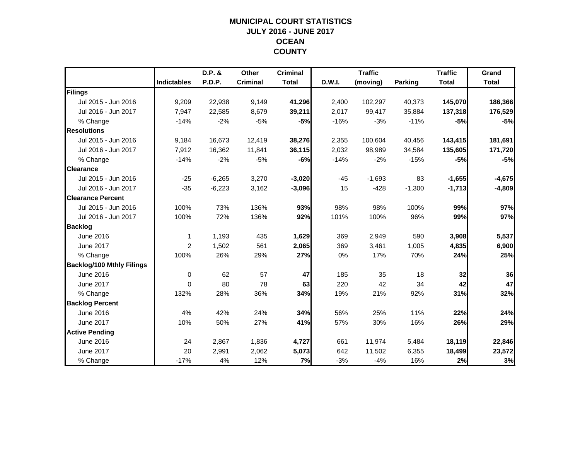## **MUNICIPAL COURT STATISTICSJULY 2016 - JUNE 2017 OCEAN COUNTY**

|                                  |                    | D.P. &        | Other           | <b>Criminal</b> |        | <b>Traffic</b> |                | <b>Traffic</b> | Grand        |
|----------------------------------|--------------------|---------------|-----------------|-----------------|--------|----------------|----------------|----------------|--------------|
|                                  | <b>Indictables</b> | <b>P.D.P.</b> | <b>Criminal</b> | <b>Total</b>    | D.W.I. | (moving)       | <b>Parking</b> | <b>Total</b>   | <b>Total</b> |
| Filings                          |                    |               |                 |                 |        |                |                |                |              |
| Jul 2015 - Jun 2016              | 9,209              | 22,938        | 9,149           | 41,296          | 2,400  | 102,297        | 40,373         | 145,070        | 186,366      |
| Jul 2016 - Jun 2017              | 7,947              | 22,585        | 8,679           | 39,211          | 2,017  | 99,417         | 35,884         | 137,318        | 176,529      |
| % Change                         | $-14%$             | $-2%$         | $-5%$           | $-5%$           | $-16%$ | $-3%$          | $-11%$         | $-5%$          | $-5%$        |
| <b>Resolutions</b>               |                    |               |                 |                 |        |                |                |                |              |
| Jul 2015 - Jun 2016              | 9,184              | 16,673        | 12,419          | 38,276          | 2,355  | 100,604        | 40,456         | 143,415        | 181,691      |
| Jul 2016 - Jun 2017              | 7,912              | 16,362        | 11,841          | 36,115          | 2,032  | 98,989         | 34,584         | 135,605        | 171,720      |
| % Change                         | $-14%$             | $-2%$         | $-5%$           | $-6%$           | $-14%$ | $-2%$          | $-15%$         | $-5%$          | $-5%$        |
| <b>Clearance</b>                 |                    |               |                 |                 |        |                |                |                |              |
| Jul 2015 - Jun 2016              | $-25$              | $-6,265$      | 3,270           | $-3,020$        | $-45$  | $-1,693$       | 83             | $-1,655$       | $-4,675$     |
| Jul 2016 - Jun 2017              | $-35$              | $-6,223$      | 3,162           | $-3,096$        | 15     | $-428$         | $-1,300$       | $-1,713$       | $-4,809$     |
| <b>Clearance Percent</b>         |                    |               |                 |                 |        |                |                |                |              |
| Jul 2015 - Jun 2016              | 100%               | 73%           | 136%            | 93%             | 98%    | 98%            | 100%           | 99%            | 97%          |
| Jul 2016 - Jun 2017              | 100%               | 72%           | 136%            | 92%             | 101%   | 100%           | 96%            | 99%            | 97%          |
| <b>Backlog</b>                   |                    |               |                 |                 |        |                |                |                |              |
| June 2016                        | -1                 | 1,193         | 435             | 1,629           | 369    | 2,949          | 590            | 3,908          | 5,537        |
| June 2017                        | 2                  | 1,502         | 561             | 2,065           | 369    | 3,461          | 1,005          | 4,835          | 6,900        |
| % Change                         | 100%               | 26%           | 29%             | 27%             | 0%     | 17%            | 70%            | 24%            | 25%          |
| <b>Backlog/100 Mthly Filings</b> |                    |               |                 |                 |        |                |                |                |              |
| June 2016                        | $\mathbf 0$        | 62            | 57              | 47              | 185    | 35             | 18             | 32             | 36           |
| <b>June 2017</b>                 | $\Omega$           | 80            | 78              | 63              | 220    | 42             | 34             | 42             | 47           |
| % Change                         | 132%               | 28%           | 36%             | 34%             | 19%    | 21%            | 92%            | 31%            | 32%          |
| <b>Backlog Percent</b>           |                    |               |                 |                 |        |                |                |                |              |
| June 2016                        | 4%                 | 42%           | 24%             | 34%             | 56%    | 25%            | 11%            | 22%            | 24%          |
| <b>June 2017</b>                 | 10%                | 50%           | 27%             | 41%             | 57%    | 30%            | 16%            | 26%            | 29%          |
| <b>Active Pending</b>            |                    |               |                 |                 |        |                |                |                |              |
| June 2016                        | 24                 | 2,867         | 1,836           | 4,727           | 661    | 11.974         | 5,484          | 18,119         | 22,846       |
| June 2017                        | 20                 | 2,991         | 2,062           | 5,073           | 642    | 11,502         | 6,355          | 18,499         | 23,572       |
| % Change                         | $-17%$             | 4%            | 12%             | 7%              | $-3%$  | $-4%$          | 16%            | 2%             | 3%           |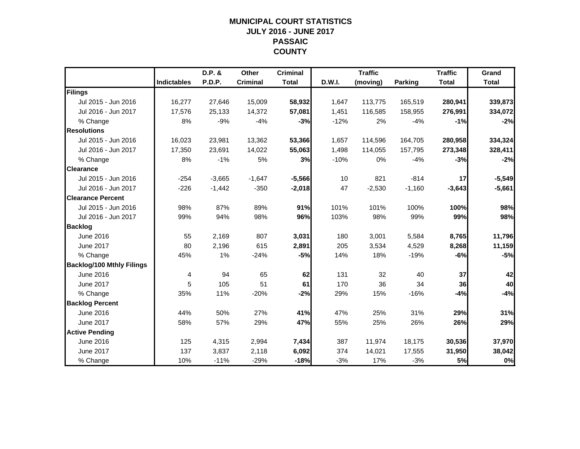## **MUNICIPAL COURT STATISTICSJULY 2016 - JUNE 2017 PASSAIC COUNTY**

|                                  |                    | D.P. &   | Other           | <b>Criminal</b> |        | <b>Traffic</b> |                | <b>Traffic</b> | Grand        |
|----------------------------------|--------------------|----------|-----------------|-----------------|--------|----------------|----------------|----------------|--------------|
|                                  | <b>Indictables</b> | P.D.P.   | <b>Criminal</b> | <b>Total</b>    | D.W.I. | (moving)       | <b>Parking</b> | <b>Total</b>   | <b>Total</b> |
| Filings                          |                    |          |                 |                 |        |                |                |                |              |
| Jul 2015 - Jun 2016              | 16,277             | 27,646   | 15,009          | 58,932          | 1,647  | 113,775        | 165,519        | 280,941        | 339,873      |
| Jul 2016 - Jun 2017              | 17,576             | 25,133   | 14,372          | 57,081          | 1,451  | 116,585        | 158,955        | 276,991        | 334,072      |
| % Change                         | 8%                 | $-9%$    | $-4%$           | $-3%$           | $-12%$ | 2%             | $-4%$          | $-1%$          | $-2%$        |
| <b>Resolutions</b>               |                    |          |                 |                 |        |                |                |                |              |
| Jul 2015 - Jun 2016              | 16,023             | 23,981   | 13,362          | 53,366          | 1,657  | 114,596        | 164,705        | 280,958        | 334,324      |
| Jul 2016 - Jun 2017              | 17,350             | 23,691   | 14,022          | 55,063          | 1,498  | 114,055        | 157,795        | 273,348        | 328,411      |
| % Change                         | 8%                 | $-1%$    | 5%              | 3%              | $-10%$ | 0%             | $-4%$          | $-3%$          | $-2%$        |
| <b>Clearance</b>                 |                    |          |                 |                 |        |                |                |                |              |
| Jul 2015 - Jun 2016              | $-254$             | $-3,665$ | $-1,647$        | $-5,566$        | 10     | 821            | $-814$         | 17             | $-5,549$     |
| Jul 2016 - Jun 2017              | $-226$             | $-1,442$ | $-350$          | $-2,018$        | 47     | $-2,530$       | $-1,160$       | $-3,643$       | $-5,661$     |
| <b>Clearance Percent</b>         |                    |          |                 |                 |        |                |                |                |              |
| Jul 2015 - Jun 2016              | 98%                | 87%      | 89%             | 91%             | 101%   | 101%           | 100%           | 100%           | 98%          |
| Jul 2016 - Jun 2017              | 99%                | 94%      | 98%             | 96%             | 103%   | 98%            | 99%            | 99%            | 98%          |
| <b>Backlog</b>                   |                    |          |                 |                 |        |                |                |                |              |
| June 2016                        | 55                 | 2,169    | 807             | 3,031           | 180    | 3,001          | 5,584          | 8,765          | 11,796       |
| June 2017                        | 80                 | 2,196    | 615             | 2,891           | 205    | 3,534          | 4,529          | 8,268          | 11,159       |
| % Change                         | 45%                | 1%       | $-24%$          | $-5%$           | 14%    | 18%            | $-19%$         | -6%            | $-5%$        |
| <b>Backlog/100 Mthly Filings</b> |                    |          |                 |                 |        |                |                |                |              |
| June 2016                        | 4                  | 94       | 65              | 62              | 131    | 32             | 40             | 37             | 42           |
| June 2017                        | 5                  | 105      | 51              | 61              | 170    | 36             | 34             | 36             | 40           |
| % Change                         | 35%                | 11%      | $-20%$          | $-2%$           | 29%    | 15%            | $-16%$         | $-4%$          | $-4%$        |
| <b>Backlog Percent</b>           |                    |          |                 |                 |        |                |                |                |              |
| June 2016                        | 44%                | 50%      | 27%             | 41%             | 47%    | 25%            | 31%            | 29%            | 31%          |
| <b>June 2017</b>                 | 58%                | 57%      | 29%             | 47%             | 55%    | 25%            | 26%            | 26%            | 29%          |
| <b>Active Pending</b>            |                    |          |                 |                 |        |                |                |                |              |
| June 2016                        | 125                | 4,315    | 2,994           | 7,434           | 387    | 11,974         | 18,175         | 30,536         | 37,970       |
| June 2017                        | 137                | 3,837    | 2,118           | 6,092           | 374    | 14,021         | 17,555         | 31,950         | 38,042       |
| % Change                         | 10%                | $-11%$   | $-29%$          | $-18%$          | $-3%$  | 17%            | $-3%$          | 5%             | 0%           |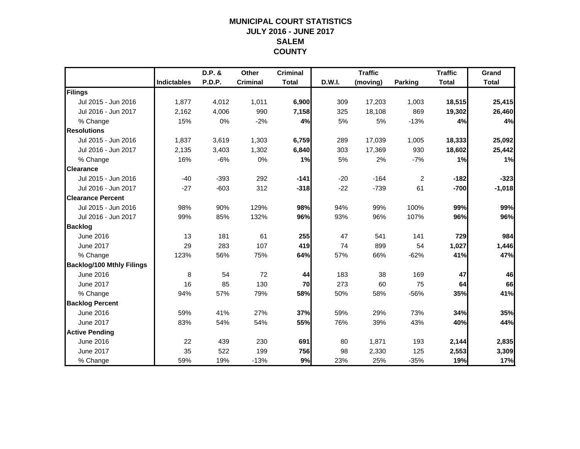## **MUNICIPAL COURT STATISTICSJULY 2016 - JUNE 2017 SALEMCOUNTY**

|                                  |                    | D.P. & | Other           | <b>Criminal</b> |               | <b>Traffic</b> |                | <b>Traffic</b> | Grand        |
|----------------------------------|--------------------|--------|-----------------|-----------------|---------------|----------------|----------------|----------------|--------------|
|                                  | <b>Indictables</b> | P.D.P. | <b>Criminal</b> | <b>Total</b>    | <b>D.W.I.</b> | (moving)       | <b>Parking</b> | <b>Total</b>   | <b>Total</b> |
| <b>Filings</b>                   |                    |        |                 |                 |               |                |                |                |              |
| Jul 2015 - Jun 2016              | 1,877              | 4,012  | 1,011           | 6,900           | 309           | 17,203         | 1,003          | 18,515         | 25,415       |
| Jul 2016 - Jun 2017              | 2,162              | 4,006  | 990             | 7,158           | 325           | 18,108         | 869            | 19,302         | 26,460       |
| % Change                         | 15%                | 0%     | $-2%$           | 4%              | 5%            | 5%             | $-13%$         | 4%             | 4%           |
| <b>Resolutions</b>               |                    |        |                 |                 |               |                |                |                |              |
| Jul 2015 - Jun 2016              | 1,837              | 3,619  | 1,303           | 6,759           | 289           | 17,039         | 1,005          | 18,333         | 25,092       |
| Jul 2016 - Jun 2017              | 2,135              | 3,403  | 1,302           | 6,840           | 303           | 17,369         | 930            | 18,602         | 25,442       |
| % Change                         | 16%                | $-6%$  | 0%              | 1%              | 5%            | 2%             | $-7%$          | 1%             | 1%           |
| <b>Clearance</b>                 |                    |        |                 |                 |               |                |                |                |              |
| Jul 2015 - Jun 2016              | $-40$              | $-393$ | 292             | $-141$          | $-20$         | $-164$         | $\overline{2}$ | $-182$         | $-323$       |
| Jul 2016 - Jun 2017              | $-27$              | $-603$ | 312             | $-318$          | $-22$         | $-739$         | 61             | $-700$         | $-1,018$     |
| <b>Clearance Percent</b>         |                    |        |                 |                 |               |                |                |                |              |
| Jul 2015 - Jun 2016              | 98%                | 90%    | 129%            | 98%             | 94%           | 99%            | 100%           | 99%            | 99%          |
| Jul 2016 - Jun 2017              | 99%                | 85%    | 132%            | 96%             | 93%           | 96%            | 107%           | 96%            | 96%          |
| <b>Backlog</b>                   |                    |        |                 |                 |               |                |                |                |              |
| June 2016                        | 13                 | 181    | 61              | 255             | 47            | 541            | 141            | 729            | 984          |
| <b>June 2017</b>                 | 29                 | 283    | 107             | 419             | 74            | 899            | 54             | 1,027          | 1,446        |
| % Change                         | 123%               | 56%    | 75%             | 64%             | 57%           | 66%            | $-62%$         | 41%            | 47%          |
| <b>Backlog/100 Mthly Filings</b> |                    |        |                 |                 |               |                |                |                |              |
| June 2016                        | 8                  | 54     | 72              | 44              | 183           | 38             | 169            | 47             | 46           |
| <b>June 2017</b>                 | 16                 | 85     | 130             | 70              | 273           | 60             | 75             | 64             | 66           |
| % Change                         | 94%                | 57%    | 79%             | 58%             | 50%           | 58%            | $-56%$         | 35%            | 41%          |
| <b>Backlog Percent</b>           |                    |        |                 |                 |               |                |                |                |              |
| June 2016                        | 59%                | 41%    | 27%             | 37%             | 59%           | 29%            | 73%            | 34%            | 35%          |
| <b>June 2017</b>                 | 83%                | 54%    | 54%             | 55%             | 76%           | 39%            | 43%            | 40%            | 44%          |
| <b>Active Pending</b>            |                    |        |                 |                 |               |                |                |                |              |
| June 2016                        | 22                 | 439    | 230             | 691             | 80            | 1,871          | 193            | 2,144          | 2,835        |
| <b>June 2017</b>                 | 35                 | 522    | 199             | 756             | 98            | 2,330          | 125            | 2,553          | 3,309        |
| % Change                         | 59%                | 19%    | $-13%$          | 9%              | 23%           | 25%            | $-35%$         | 19%            | 17%          |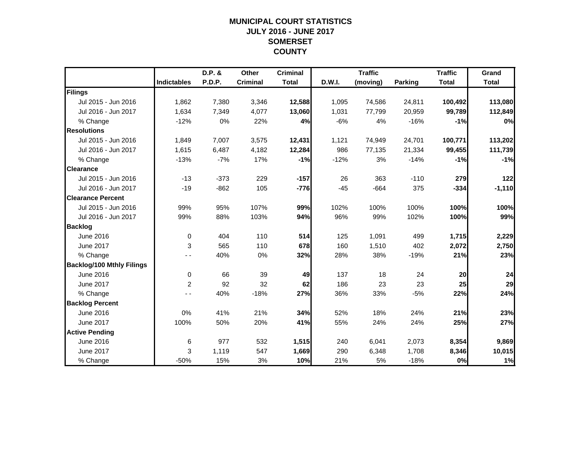## **MUNICIPAL COURT STATISTICSJULY 2016 - JUNE 2017 SOMERSET COUNTY**

|                                  |                    | D.P. &        | <b>Other</b>    | <b>Criminal</b> |        | <b>Traffic</b> |                | <b>Traffic</b> | Grand        |
|----------------------------------|--------------------|---------------|-----------------|-----------------|--------|----------------|----------------|----------------|--------------|
|                                  | <b>Indictables</b> | <b>P.D.P.</b> | <b>Criminal</b> | <b>Total</b>    | D.W.I. | (moving)       | <b>Parking</b> | <b>Total</b>   | <b>Total</b> |
| Filings                          |                    |               |                 |                 |        |                |                |                |              |
| Jul 2015 - Jun 2016              | 1,862              | 7,380         | 3,346           | 12,588          | 1,095  | 74,586         | 24,811         | 100,492        | 113,080      |
| Jul 2016 - Jun 2017              | 1,634              | 7,349         | 4,077           | 13,060          | 1,031  | 77.799         | 20,959         | 99,789         | 112,849      |
| % Change                         | $-12%$             | 0%            | 22%             | 4%              | $-6%$  | 4%             | $-16%$         | $-1%$          | 0%           |
| <b>Resolutions</b>               |                    |               |                 |                 |        |                |                |                |              |
| Jul 2015 - Jun 2016              | 1,849              | 7,007         | 3,575           | 12,431          | 1,121  | 74,949         | 24,701         | 100,771        | 113,202      |
| Jul 2016 - Jun 2017              | 1,615              | 6,487         | 4,182           | 12,284          | 986    | 77,135         | 21,334         | 99,455         | 111,739      |
| % Change                         | $-13%$             | $-7%$         | 17%             | $-1%$           | $-12%$ | 3%             | $-14%$         | $-1%$          | $-1%$        |
| <b>Clearance</b>                 |                    |               |                 |                 |        |                |                |                |              |
| Jul 2015 - Jun 2016              | $-13$              | $-373$        | 229             | $-157$          | 26     | 363            | $-110$         | 279            | 122          |
| Jul 2016 - Jun 2017              | $-19$              | $-862$        | 105             | $-776$          | $-45$  | $-664$         | 375            | $-334$         | $-1,110$     |
| <b>Clearance Percent</b>         |                    |               |                 |                 |        |                |                |                |              |
| Jul 2015 - Jun 2016              | 99%                | 95%           | 107%            | 99%             | 102%   | 100%           | 100%           | 100%           | 100%         |
| Jul 2016 - Jun 2017              | 99%                | 88%           | 103%            | 94%             | 96%    | 99%            | 102%           | 100%           | 99%          |
| <b>Backlog</b>                   |                    |               |                 |                 |        |                |                |                |              |
| June 2016                        | $\mathbf 0$        | 404           | 110             | 514             | 125    | 1,091          | 499            | 1,715          | 2,229        |
| June 2017                        | 3                  | 565           | 110             | 678             | 160    | 1,510          | 402            | 2,072          | 2,750        |
| % Change                         |                    | 40%           | 0%              | 32%             | 28%    | 38%            | $-19%$         | 21%            | 23%          |
| <b>Backlog/100 Mthly Filings</b> |                    |               |                 |                 |        |                |                |                |              |
| June 2016                        | $\mathbf 0$        | 66            | 39              | 49              | 137    | 18             | 24             | 20             | 24           |
| <b>June 2017</b>                 | 2                  | 92            | 32              | 62              | 186    | 23             | 23             | 25             | 29           |
| % Change                         | $ -$               | 40%           | $-18%$          | 27%             | 36%    | 33%            | $-5%$          | 22%            | 24%          |
| <b>Backlog Percent</b>           |                    |               |                 |                 |        |                |                |                |              |
| June 2016                        | 0%                 | 41%           | 21%             | 34%             | 52%    | 18%            | 24%            | 21%            | 23%          |
| <b>June 2017</b>                 | 100%               | 50%           | 20%             | 41%             | 55%    | 24%            | 24%            | 25%            | 27%          |
| <b>Active Pending</b>            |                    |               |                 |                 |        |                |                |                |              |
| June 2016                        | 6                  | 977           | 532             | 1,515           | 240    | 6,041          | 2,073          | 8,354          | 9,869        |
| June 2017                        | 3                  | 1,119         | 547             | 1,669           | 290    | 6,348          | 1,708          | 8,346          | 10,015       |
| % Change                         | $-50%$             | 15%           | 3%              | 10%             | 21%    | 5%             | $-18%$         | 0%             | 1%           |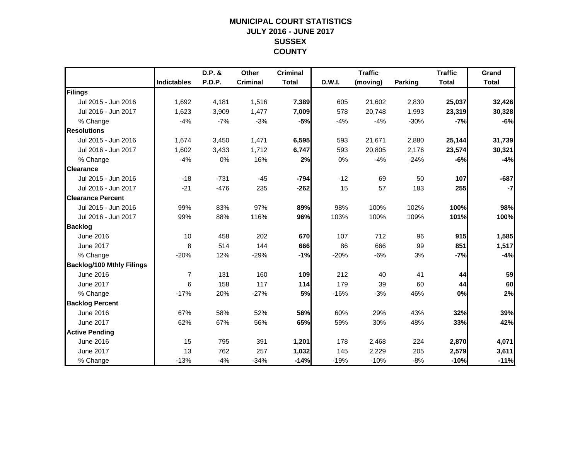## **MUNICIPAL COURT STATISTICSJULY 2016 - JUNE 2017 SUSSEX COUNTY**

|                                  |                    | D.P. &        | Other           | <b>Criminal</b> |               | <b>Traffic</b> |         | <b>Traffic</b> | Grand        |
|----------------------------------|--------------------|---------------|-----------------|-----------------|---------------|----------------|---------|----------------|--------------|
|                                  | <b>Indictables</b> | <b>P.D.P.</b> | <b>Criminal</b> | <b>Total</b>    | <b>D.W.I.</b> | (moving)       | Parking | <b>Total</b>   | <b>Total</b> |
| Filings                          |                    |               |                 |                 |               |                |         |                |              |
| Jul 2015 - Jun 2016              | 1,692              | 4,181         | 1,516           | 7,389           | 605           | 21,602         | 2,830   | 25,037         | 32,426       |
| Jul 2016 - Jun 2017              | 1,623              | 3,909         | 1,477           | 7,009           | 578           | 20,748         | 1,993   | 23,319         | 30,328       |
| % Change                         | $-4%$              | $-7%$         | $-3%$           | $-5%$           | $-4%$         | $-4%$          | $-30%$  | $-7%$          | $-6%$        |
| <b>Resolutions</b>               |                    |               |                 |                 |               |                |         |                |              |
| Jul 2015 - Jun 2016              | 1,674              | 3,450         | 1,471           | 6,595           | 593           | 21,671         | 2,880   | 25,144         | 31,739       |
| Jul 2016 - Jun 2017              | 1,602              | 3,433         | 1,712           | 6,747           | 593           | 20,805         | 2,176   | 23,574         | 30,321       |
| % Change                         | $-4%$              | 0%            | 16%             | 2%              | 0%            | $-4%$          | $-24%$  | $-6%$          | $-4%$        |
| <b>Clearance</b>                 |                    |               |                 |                 |               |                |         |                |              |
| Jul 2015 - Jun 2016              | $-18$              | $-731$        | $-45$           | $-794$          | $-12$         | 69             | 50      | 107            | $-687$       |
| Jul 2016 - Jun 2017              | $-21$              | $-476$        | 235             | $-262$          | 15            | 57             | 183     | 255            | $-7$         |
| <b>Clearance Percent</b>         |                    |               |                 |                 |               |                |         |                |              |
| Jul 2015 - Jun 2016              | 99%                | 83%           | 97%             | 89%             | 98%           | 100%           | 102%    | 100%           | 98%          |
| Jul 2016 - Jun 2017              | 99%                | 88%           | 116%            | 96%             | 103%          | 100%           | 109%    | 101%           | 100%         |
| <b>Backlog</b>                   |                    |               |                 |                 |               |                |         |                |              |
| June 2016                        | 10                 | 458           | 202             | 670             | 107           | 712            | 96      | 915            | 1,585        |
| June 2017                        | 8                  | 514           | 144             | 666             | 86            | 666            | 99      | 851            | 1,517        |
| % Change                         | $-20%$             | 12%           | $-29%$          | $-1%$           | $-20%$        | $-6%$          | 3%      | $-7%$          | $-4%$        |
| <b>Backlog/100 Mthly Filings</b> |                    |               |                 |                 |               |                |         |                |              |
| June 2016                        | $\overline{7}$     | 131           | 160             | 109             | 212           | 40             | 41      | 44             | 59           |
| June 2017                        | 6                  | 158           | 117             | 114             | 179           | 39             | 60      | 44             | 60           |
| % Change                         | $-17%$             | 20%           | $-27%$          | <b>5%</b>       | $-16%$        | $-3%$          | 46%     | 0%             | 2%           |
| <b>Backlog Percent</b>           |                    |               |                 |                 |               |                |         |                |              |
| June 2016                        | 67%                | 58%           | 52%             | 56%             | 60%           | 29%            | 43%     | 32%            | 39%          |
| June 2017                        | 62%                | 67%           | 56%             | 65%             | 59%           | 30%            | 48%     | 33%            | 42%          |
| <b>Active Pending</b>            |                    |               |                 |                 |               |                |         |                |              |
| June 2016                        | 15                 | 795           | 391             | 1,201           | 178           | 2,468          | 224     | 2,870          | 4,071        |
| June 2017                        | 13                 | 762           | 257             | 1,032           | 145           | 2,229          | 205     | 2,579          | 3,611        |
| % Change                         | $-13%$             | $-4%$         | $-34%$          | $-14%$          | $-19%$        | $-10%$         | $-8%$   | $-10%$         | $-11%$       |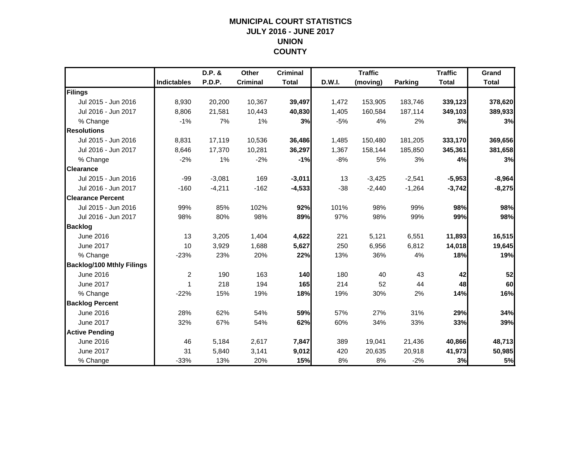## **MUNICIPAL COURT STATISTICSJULY 2016 - JUNE 2017 UNION COUNTY**

|                                  |                    | D.P. &        | <b>Other</b>    | <b>Criminal</b> |        | <b>Traffic</b> |                | <b>Traffic</b> | Grand        |
|----------------------------------|--------------------|---------------|-----------------|-----------------|--------|----------------|----------------|----------------|--------------|
|                                  | <b>Indictables</b> | <b>P.D.P.</b> | <b>Criminal</b> | <b>Total</b>    | D.W.I. | (moving)       | <b>Parking</b> | <b>Total</b>   | <b>Total</b> |
| Filings                          |                    |               |                 |                 |        |                |                |                |              |
| Jul 2015 - Jun 2016              | 8,930              | 20,200        | 10,367          | 39,497          | 1,472  | 153,905        | 183,746        | 339,123        | 378,620      |
| Jul 2016 - Jun 2017              | 8,806              | 21,581        | 10,443          | 40,830          | 1,405  | 160,584        | 187,114        | 349,103        | 389,933      |
| % Change                         | $-1%$              | 7%            | 1%              | 3%              | $-5%$  | 4%             | 2%             | 3%             | 3%           |
| <b>Resolutions</b>               |                    |               |                 |                 |        |                |                |                |              |
| Jul 2015 - Jun 2016              | 8,831              | 17,119        | 10,536          | 36,486          | 1,485  | 150,480        | 181,205        | 333,170        | 369,656      |
| Jul 2016 - Jun 2017              | 8,646              | 17,370        | 10,281          | 36,297          | 1,367  | 158,144        | 185,850        | 345,361        | 381,658      |
| % Change                         | $-2%$              | 1%            | $-2%$           | $-1%$           | $-8%$  | 5%             | 3%             | 4%             | 3%           |
| <b>Clearance</b>                 |                    |               |                 |                 |        |                |                |                |              |
| Jul 2015 - Jun 2016              | $-99$              | $-3,081$      | 169             | $-3,011$        | 13     | $-3,425$       | $-2,541$       | $-5,953$       | $-8,964$     |
| Jul 2016 - Jun 2017              | $-160$             | $-4,211$      | $-162$          | $-4,533$        | $-38$  | $-2,440$       | $-1,264$       | $-3,742$       | $-8,275$     |
| <b>Clearance Percent</b>         |                    |               |                 |                 |        |                |                |                |              |
| Jul 2015 - Jun 2016              | 99%                | 85%           | 102%            | 92%             | 101%   | 98%            | 99%            | 98%            | 98%          |
| Jul 2016 - Jun 2017              | 98%                | 80%           | 98%             | 89%             | 97%    | 98%            | 99%            | 99%            | 98%          |
| <b>Backlog</b>                   |                    |               |                 |                 |        |                |                |                |              |
| June 2016                        | 13                 | 3,205         | 1,404           | 4,622           | 221    | 5,121          | 6,551          | 11,893         | 16,515       |
| June 2017                        | 10                 | 3,929         | 1,688           | 5,627           | 250    | 6,956          | 6,812          | 14,018         | 19,645       |
| % Change                         | $-23%$             | 23%           | 20%             | 22%             | 13%    | 36%            | 4%             | 18%            | 19%          |
| <b>Backlog/100 Mthly Filings</b> |                    |               |                 |                 |        |                |                |                |              |
| June 2016                        | $\overline{2}$     | 190           | 163             | 140             | 180    | 40             | 43             | 42             | 52           |
| <b>June 2017</b>                 | 1                  | 218           | 194             | 165             | 214    | 52             | 44             | 48             | 60           |
| % Change                         | $-22%$             | 15%           | 19%             | 18%             | 19%    | 30%            | 2%             | 14%            | 16%          |
| <b>Backlog Percent</b>           |                    |               |                 |                 |        |                |                |                |              |
| June 2016                        | 28%                | 62%           | 54%             | 59%             | 57%    | 27%            | 31%            | 29%            | 34%          |
| <b>June 2017</b>                 | 32%                | 67%           | 54%             | 62%             | 60%    | 34%            | 33%            | 33%            | 39%          |
| <b>Active Pending</b>            |                    |               |                 |                 |        |                |                |                |              |
| June 2016                        | 46                 | 5,184         | 2,617           | 7,847           | 389    | 19,041         | 21,436         | 40,866         | 48,713       |
| June 2017                        | 31                 | 5,840         | 3,141           | 9,012           | 420    | 20,635         | 20,918         | 41,973         | 50,985       |
| % Change                         | $-33%$             | 13%           | 20%             | 15%             | 8%     | 8%             | $-2%$          | 3%             | 5%           |